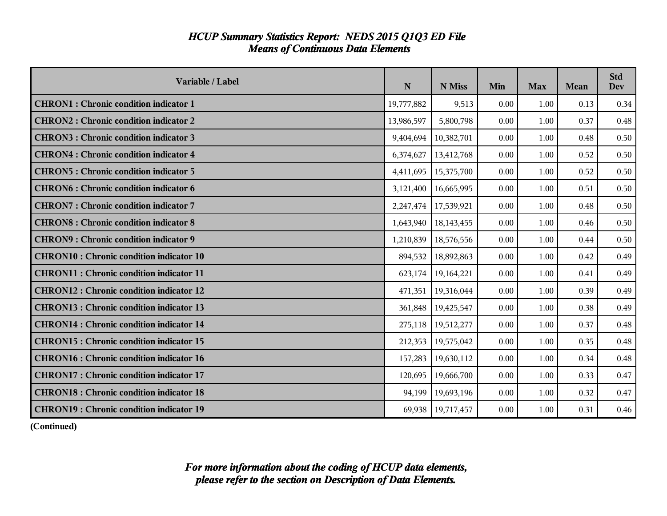| <b>HCUP Summary Statistics Report: NEDS 2015 Q1Q3 ED File</b> |  |
|---------------------------------------------------------------|--|
| <b>Means of Continuous Data Elements</b>                      |  |

| Variable / Label                                | N          | N Miss     | Min  | <b>Max</b> | <b>Mean</b> | <b>Std</b><br>Dev |
|-------------------------------------------------|------------|------------|------|------------|-------------|-------------------|
| <b>CHRON1</b> : Chronic condition indicator 1   | 19,777,882 | 9,513      | 0.00 | 1.00       | 0.13        | 0.34              |
| <b>CHRON2: Chronic condition indicator 2</b>    | 13,986,597 | 5,800,798  | 0.00 | 1.00       | 0.37        | 0.48              |
| <b>CHRON3: Chronic condition indicator 3</b>    | 9,404,694  | 10,382,701 | 0.00 | 1.00       | 0.48        | 0.50              |
| <b>CHRON4: Chronic condition indicator 4</b>    | 6,374,627  | 13,412,768 | 0.00 | 1.00       | 0.52        | 0.50              |
| <b>CHRON5: Chronic condition indicator 5</b>    | 4,411,695  | 15,375,700 | 0.00 | 1.00       | 0.52        | 0.50              |
| <b>CHRON6: Chronic condition indicator 6</b>    | 3,121,400  | 16,665,995 | 0.00 | 1.00       | 0.51        | 0.50              |
| <b>CHRON7: Chronic condition indicator 7</b>    | 2,247,474  | 17,539,921 | 0.00 | 1.00       | 0.48        | 0.50              |
| <b>CHRON8: Chronic condition indicator 8</b>    | 1,643,940  | 18,143,455 | 0.00 | 1.00       | 0.46        | 0.50              |
| <b>CHRON9: Chronic condition indicator 9</b>    | 1,210,839  | 18,576,556 | 0.00 | 1.00       | 0.44        | 0.50              |
| <b>CHRON10: Chronic condition indicator 10</b>  | 894,532    | 18,892,863 | 0.00 | 1.00       | 0.42        | 0.49              |
| <b>CHRON11: Chronic condition indicator 11</b>  | 623,174    | 19,164,221 | 0.00 | 1.00       | 0.41        | 0.49              |
| <b>CHRON12: Chronic condition indicator 12</b>  | 471,351    | 19,316,044 | 0.00 | 1.00       | 0.39        | 0.49              |
| <b>CHRON13: Chronic condition indicator 13</b>  | 361,848    | 19,425,547 | 0.00 | 1.00       | 0.38        | 0.49              |
| <b>CHRON14</b> : Chronic condition indicator 14 | 275,118    | 19,512,277 | 0.00 | 1.00       | 0.37        | 0.48              |
| <b>CHRON15: Chronic condition indicator 15</b>  | 212,353    | 19,575,042 | 0.00 | 1.00       | 0.35        | 0.48              |
| <b>CHRON16</b> : Chronic condition indicator 16 | 157,283    | 19,630,112 | 0.00 | 1.00       | 0.34        | 0.48              |
| <b>CHRON17: Chronic condition indicator 17</b>  | 120,695    | 19,666,700 | 0.00 | 1.00       | 0.33        | 0.47              |
| <b>CHRON18: Chronic condition indicator 18</b>  | 94,199     | 19,693,196 | 0.00 | 1.00       | 0.32        | 0.47              |
| <b>CHRON19: Chronic condition indicator 19</b>  | 69,938     | 19,717,457 | 0.00 | 1.00       | 0.31        | 0.46              |

**(Continued)**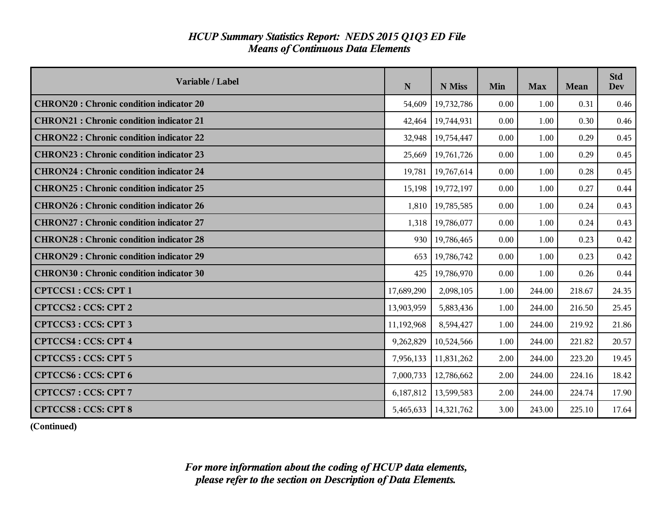| Variable / Label                                | N          | N Miss     | Min  | <b>Max</b> | <b>Mean</b> | <b>Std</b><br><b>Dev</b> |
|-------------------------------------------------|------------|------------|------|------------|-------------|--------------------------|
| <b>CHRON20: Chronic condition indicator 20</b>  | 54,609     | 19,732,786 | 0.00 | 1.00       | 0.31        | 0.46                     |
| <b>CHRON21</b> : Chronic condition indicator 21 | 42,464     | 19,744,931 | 0.00 | 1.00       | 0.30        | 0.46                     |
| <b>CHRON22: Chronic condition indicator 22</b>  | 32,948     | 19,754,447 | 0.00 | 1.00       | 0.29        | 0.45                     |
| <b>CHRON23: Chronic condition indicator 23</b>  | 25,669     | 19,761,726 | 0.00 | 1.00       | 0.29        | 0.45                     |
| <b>CHRON24 : Chronic condition indicator 24</b> | 19,781     | 19,767,614 | 0.00 | 1.00       | 0.28        | 0.45                     |
| <b>CHRON25: Chronic condition indicator 25</b>  | 15,198     | 19,772,197 | 0.00 | 1.00       | 0.27        | 0.44                     |
| <b>CHRON26 : Chronic condition indicator 26</b> | 1,810      | 19,785,585 | 0.00 | 1.00       | 0.24        | 0.43                     |
| <b>CHRON27: Chronic condition indicator 27</b>  | 1,318      | 19,786,077 | 0.00 | 1.00       | 0.24        | 0.43                     |
| <b>CHRON28 : Chronic condition indicator 28</b> | 930        | 19,786,465 | 0.00 | 1.00       | 0.23        | 0.42                     |
| <b>CHRON29 : Chronic condition indicator 29</b> | 653        | 19,786,742 | 0.00 | 1.00       | 0.23        | 0.42                     |
| <b>CHRON30: Chronic condition indicator 30</b>  | 425        | 19,786,970 | 0.00 | 1.00       | 0.26        | 0.44                     |
| <b>CPTCCS1: CCS: CPT 1</b>                      | 17,689,290 | 2,098,105  | 1.00 | 244.00     | 218.67      | 24.35                    |
| <b>CPTCCS2: CCS: CPT 2</b>                      | 13,903,959 | 5,883,436  | 1.00 | 244.00     | 216.50      | 25.45                    |
| <b>CPTCCS3: CCS: CPT 3</b>                      | 11,192,968 | 8,594,427  | 1.00 | 244.00     | 219.92      | 21.86                    |
| <b>CPTCCS4: CCS: CPT 4</b>                      | 9,262,829  | 10,524,566 | 1.00 | 244.00     | 221.82      | 20.57                    |
| <b>CPTCCS5: CCS: CPT 5</b>                      | 7,956,133  | 11,831,262 | 2.00 | 244.00     | 223.20      | 19.45                    |
| <b>CPTCCS6: CCS: CPT 6</b>                      | 7,000,733  | 12,786,662 | 2.00 | 244.00     | 224.16      | 18.42                    |
| <b>CPTCCS7: CCS: CPT 7</b>                      | 6,187,812  | 13,599,583 | 2.00 | 244.00     | 224.74      | 17.90                    |
| <b>CPTCCS8: CCS: CPT 8</b>                      | 5,465,633  | 14,321,762 | 3.00 | 243.00     | 225.10      | 17.64                    |

**(Continued)**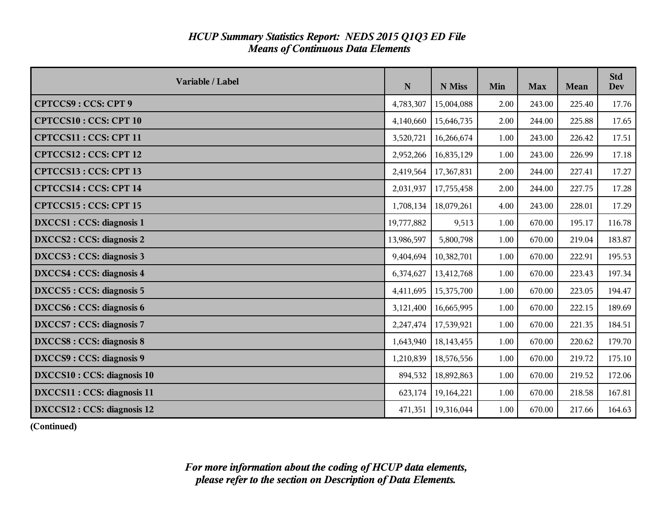| Variable / Label                | $\mathbf N$ | N Miss                 | Min  | <b>Max</b> | <b>Mean</b> | <b>Std</b><br><b>Dev</b> |
|---------------------------------|-------------|------------------------|------|------------|-------------|--------------------------|
| <b>CPTCCS9: CCS: CPT 9</b>      | 4,783,307   | 15,004,088             | 2.00 | 243.00     | 225.40      | 17.76                    |
| <b>CPTCCS10: CCS: CPT 10</b>    | 4,140,660   | 15,646,735             | 2.00 | 244.00     | 225.88      | 17.65                    |
| CPTCCS11 : CCS: CPT 11          | 3,520,721   | 16,266,674             | 1.00 | 243.00     | 226.42      | 17.51                    |
| CPTCCS12: CCS: CPT 12           | 2,952,266   | 16,835,129             | 1.00 | 243.00     | 226.99      | 17.18                    |
| CPTCCS13: CCS: CPT 13           | 2,419,564   | 17,367,831             | 2.00 | 244.00     | 227.41      | 17.27                    |
| CPTCCS14 : CCS: CPT 14          | 2,031,937   | 17,755,458             | 2.00 | 244.00     | 227.75      | 17.28                    |
| CPTCCS15: CCS: CPT 15           | 1,708,134   | 18,079,261             | 4.00 | 243.00     | 228.01      | 17.29                    |
| DXCCS1 : CCS: diagnosis 1       | 19,777,882  | 9,513                  | 1.00 | 670.00     | 195.17      | 116.78                   |
| DXCCS2 : CCS: diagnosis 2       | 13,986,597  | 5,800,798              | 1.00 | 670.00     | 219.04      | 183.87                   |
| DXCCS3 : CCS: diagnosis 3       | 9,404,694   | 10,382,701             | 1.00 | 670.00     | 222.91      | 195.53                   |
| DXCCS4 : CCS: diagnosis 4       | 6,374,627   | 13,412,768             | 1.00 | 670.00     | 223.43      | 197.34                   |
| DXCCS5 : CCS: diagnosis 5       | 4,411,695   | 15,375,700             | 1.00 | 670.00     | 223.05      | 194.47                   |
| DXCCS6 : CCS: diagnosis 6       | 3,121,400   | 16,665,995             | 1.00 | 670.00     | 222.15      | 189.69                   |
| DXCCS7: CCS: diagnosis 7        |             | 2,247,474   17,539,921 | 1.00 | 670.00     | 221.35      | 184.51                   |
| <b>DXCCS8: CCS: diagnosis 8</b> | 1,643,940   | 18,143,455             | 1.00 | 670.00     | 220.62      | 179.70                   |
| DXCCS9: CCS: diagnosis 9        | 1,210,839   | 18,576,556             | 1.00 | 670.00     | 219.72      | 175.10                   |
| DXCCS10 : CCS: diagnosis 10     | 894,532     | 18,892,863             | 1.00 | 670.00     | 219.52      | 172.06                   |
| DXCCS11 : CCS: diagnosis 11     | 623,174     | 19,164,221             | 1.00 | 670.00     | 218.58      | 167.81                   |
| DXCCS12 : CCS: diagnosis 12     | 471,351     | 19,316,044             | 1.00 | 670.00     | 217.66      | 164.63                   |

**(Continued)**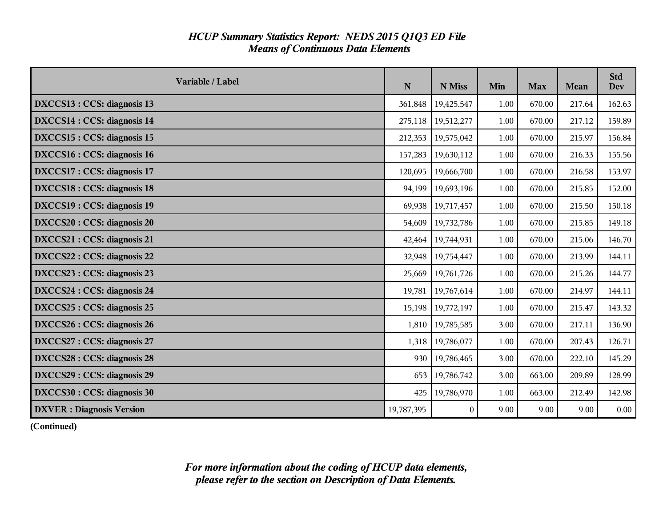| Variable / Label                  | N          | N Miss     | Min  | <b>Max</b> | <b>Mean</b> | <b>Std</b><br><b>Dev</b> |
|-----------------------------------|------------|------------|------|------------|-------------|--------------------------|
| DXCCS13 : CCS: diagnosis 13       | 361,848    | 19,425,547 | 1.00 | 670.00     | 217.64      | 162.63                   |
| DXCCS14 : CCS: diagnosis 14       | 275,118    | 19,512,277 | 1.00 | 670.00     | 217.12      | 159.89                   |
| DXCCS15 : CCS: diagnosis 15       | 212,353    | 19,575,042 | 1.00 | 670.00     | 215.97      | 156.84                   |
| DXCCS16 : CCS: diagnosis 16       | 157,283    | 19,630,112 | 1.00 | 670.00     | 216.33      | 155.56                   |
| DXCCS17 : CCS: diagnosis 17       | 120,695    | 19,666,700 | 1.00 | 670.00     | 216.58      | 153.97                   |
| <b>DXCCS18: CCS: diagnosis 18</b> | 94,199     | 19,693,196 | 1.00 | 670.00     | 215.85      | 152.00                   |
| DXCCS19 : CCS: diagnosis 19       | 69,938     | 19,717,457 | 1.00 | 670.00     | 215.50      | 150.18                   |
| DXCCS20 : CCS: diagnosis 20       | 54,609     | 19,732,786 | 1.00 | 670.00     | 215.85      | 149.18                   |
| DXCCS21 : CCS: diagnosis 21       | 42,464     | 19,744,931 | 1.00 | 670.00     | 215.06      | 146.70                   |
| DXCCS22 : CCS: diagnosis 22       | 32,948     | 19,754,447 | 1.00 | 670.00     | 213.99      | 144.11                   |
| DXCCS23 : CCS: diagnosis 23       | 25,669     | 19,761,726 | 1.00 | 670.00     | 215.26      | 144.77                   |
| DXCCS24 : CCS: diagnosis 24       | 19,781     | 19,767,614 | 1.00 | 670.00     | 214.97      | 144.11                   |
| DXCCS25 : CCS: diagnosis 25       | 15,198     | 19,772,197 | 1.00 | 670.00     | 215.47      | 143.32                   |
| DXCCS26 : CCS: diagnosis 26       | 1,810      | 19,785,585 | 3.00 | 670.00     | 217.11      | 136.90                   |
| DXCCS27 : CCS: diagnosis 27       | 1,318      | 19,786,077 | 1.00 | 670.00     | 207.43      | 126.71                   |
| DXCCS28 : CCS: diagnosis 28       | 930        | 19,786,465 | 3.00 | 670.00     | 222.10      | 145.29                   |
| DXCCS29 : CCS: diagnosis 29       | 653        | 19,786,742 | 3.00 | 663.00     | 209.89      | 128.99                   |
| DXCCS30 : CCS: diagnosis 30       | 425        | 19,786,970 | 1.00 | 663.00     | 212.49      | 142.98                   |
| <b>DXVER</b> : Diagnosis Version  | 19,787,395 | $\theta$   | 9.00 | 9.00       | 9.00        | 0.00                     |

**(Continued)**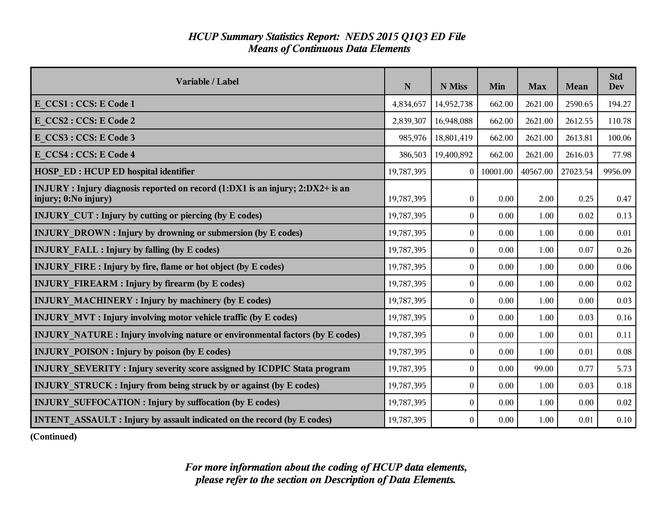| Variable / Label                                                                                       | ${\bf N}$  | N Miss           | Min      | <b>Max</b> | Mean     | <b>Std</b><br><b>Dev</b> |
|--------------------------------------------------------------------------------------------------------|------------|------------------|----------|------------|----------|--------------------------|
| E CCS1 : CCS: E Code 1                                                                                 | 4,834,657  | 14,952,738       | 662.00   | 2621.00    | 2590.65  | 194.27                   |
| E CCS2 : CCS: E Code 2                                                                                 | 2,839,307  | 16,948,088       | 662.00   | 2621.00    | 2612.55  | 110.78                   |
| E CCS3 : CCS: E Code 3                                                                                 | 985,976    | 18,801,419       | 662.00   | 2621.00    | 2613.81  | 100.06                   |
| E CCS4 : CCS: E Code 4                                                                                 | 386,503    | 19,400,892       | 662.00   | 2621.00    | 2616.03  | 77.98                    |
| <b>HOSP ED: HCUP ED hospital identifier</b>                                                            | 19,787,395 | $\theta$         | 10001.00 | 40567.00   | 27023.54 | 9956.09                  |
| INJURY : Injury diagnosis reported on record (1:DX1 is an injury; 2:DX2+ is an<br>injury; 0:No injury) | 19,787,395 | $\boldsymbol{0}$ | 0.00     | 2.00       | 0.25     | 0.47                     |
| <b>INJURY CUT : Injury by cutting or piercing (by E codes)</b>                                         | 19,787,395 | $\Omega$         | 0.00     | 1.00       | 0.02     | 0.13                     |
| <b>INJURY DROWN: Injury by drowning or submersion (by E codes)</b>                                     | 19,787,395 | $\boldsymbol{0}$ | 0.00     | 1.00       | 0.00     | 0.01                     |
| <b>INJURY FALL : Injury by falling (by E codes)</b>                                                    | 19,787,395 | $\boldsymbol{0}$ | 0.00     | 1.00       | 0.07     | 0.26                     |
| <b>INJURY FIRE: Injury by fire, flame or hot object (by E codes)</b>                                   | 19,787,395 | $\theta$         | 0.00     | 1.00       | 0.00     | 0.06                     |
| <b>INJURY FIREARM : Injury by firearm (by E codes)</b>                                                 | 19,787,395 | $\boldsymbol{0}$ | 0.00     | 1.00       | 0.00     | 0.02                     |
| <b>INJURY MACHINERY : Injury by machinery (by E codes)</b>                                             | 19,787,395 | $\boldsymbol{0}$ | 0.00     | 1.00       | 0.00     | 0.03                     |
| <b>INJURY MVT: Injury involving motor vehicle traffic (by E codes)</b>                                 | 19,787,395 | $\boldsymbol{0}$ | 0.00     | 1.00       | 0.03     | 0.16                     |
| INJURY NATURE : Injury involving nature or environmental factors (by E codes)                          | 19,787,395 | $\mathbf{0}$     | 0.00     | 1.00       | 0.01     | 0.11                     |
| <b>INJURY POISON : Injury by poison (by E codes)</b>                                                   | 19,787,395 | $\mathbf{0}$     | 0.00     | 1.00       | 0.01     | 0.08                     |
| INJURY SEVERITY: Injury severity score assigned by ICDPIC Stata program                                | 19,787,395 | $\mathbf{0}$     | 0.00     | 99.00      | 0.77     | 5.73                     |
| <b>INJURY STRUCK: Injury from being struck by or against (by E codes)</b>                              | 19,787,395 | $\boldsymbol{0}$ | 0.00     | 1.00       | 0.03     | 0.18                     |
| <b>INJURY SUFFOCATION : Injury by suffocation (by E codes)</b>                                         | 19,787,395 | $\mathbf{0}$     | 0.00     | 1.00       | 0.00     | 0.02                     |
| <b>INTENT ASSAULT : Injury by assault indicated on the record (by E codes)</b>                         | 19,787,395 | $\boldsymbol{0}$ | 0.00     | 1.00       | 0.01     | 0.10                     |

**(Continued)**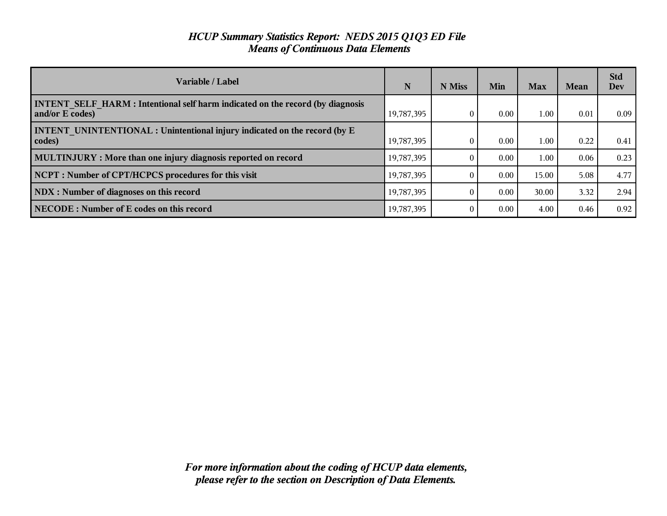| Variable / Label                                                                                        | N          | N Miss   | Min  | Max   | <b>Mean</b> | <b>Std</b><br>Dev |
|---------------------------------------------------------------------------------------------------------|------------|----------|------|-------|-------------|-------------------|
| <b>INTENT SELF HARM: Intentional self harm indicated on the record (by diagnosis</b><br>and/or E codes) | 19,787,395 | 0        | 0.00 | 1.00  | 0.01        | 0.09              |
| <b>INTENT UNINTENTIONAL : Unintentional injury indicated on the record (by E</b><br>codes)              | 19,787,395 | $\theta$ | 0.00 | 1.00  | 0.22        | 0.41              |
| MULTINJURY : More than one injury diagnosis reported on record                                          | 19,787,395 |          | 0.00 | 1.00  | 0.06        | 0.23              |
| NCPT: Number of CPT/HCPCS procedures for this visit                                                     | 19,787,395 | 0        | 0.00 | 15.00 | 5.08        | 4.77              |
| NDX : Number of diagnoses on this record                                                                | 19,787,395 | $\Omega$ | 0.00 | 30.00 | 3.32        | 2.94              |
| NECODE: Number of E codes on this record                                                                | 19,787,395 | $\Omega$ | 0.00 | 4.00  | 0.46        | 0.92              |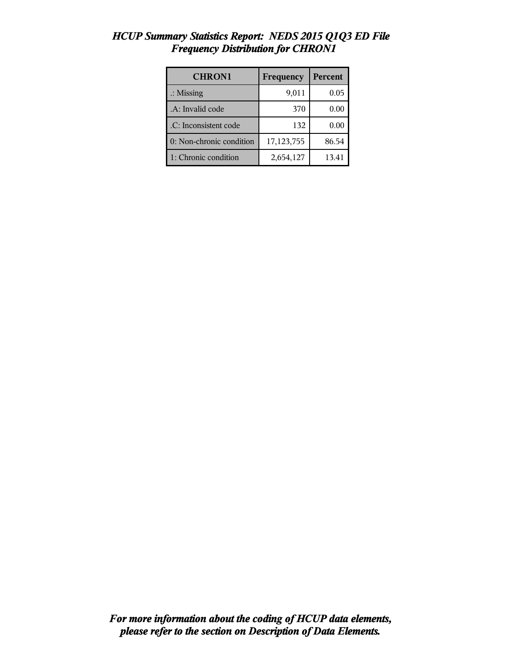| <b>CHRON1</b>            | Frequency  | Percent |
|--------------------------|------------|---------|
| $\therefore$ Missing     | 9,011      | 0.05    |
| .A: Invalid code         | 370        | 0.00    |
| .C: Inconsistent code    | 132        | 0.00    |
| 0: Non-chronic condition | 17,123,755 | 86.54   |
| 1: Chronic condition     | 2,654,127  | 13.41   |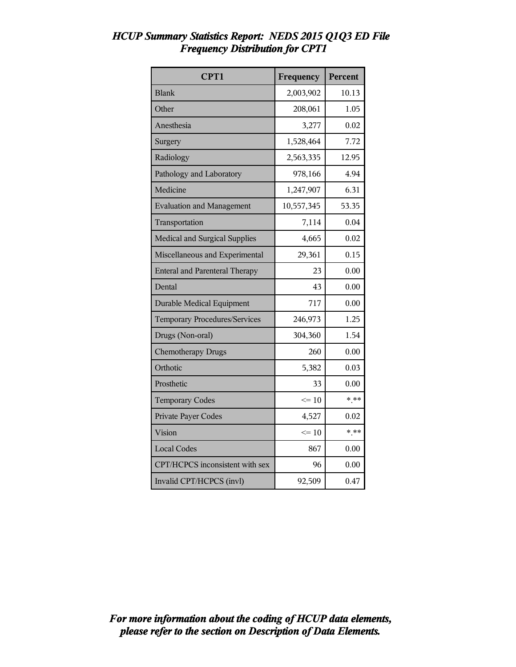| CPT1                                  | Frequency  | Percent |
|---------------------------------------|------------|---------|
| <b>Blank</b>                          | 2,003,902  | 10.13   |
| Other                                 | 208,061    | 1.05    |
| Anesthesia                            | 3,277      | 0.02    |
| Surgery                               | 1,528,464  | 7.72    |
| Radiology                             | 2,563,335  | 12.95   |
| Pathology and Laboratory              | 978,166    | 4.94    |
| Medicine                              | 1,247,907  | 6.31    |
| <b>Evaluation and Management</b>      | 10,557,345 | 53.35   |
| Transportation                        | 7,114      | 0.04    |
| Medical and Surgical Supplies         | 4,665      | 0.02    |
| Miscellaneous and Experimental        | 29,361     | 0.15    |
| <b>Enteral and Parenteral Therapy</b> | 23         | 0.00    |
| Dental                                | 43         | 0.00    |
| <b>Durable Medical Equipment</b>      | 717        | 0.00    |
| <b>Temporary Procedures/Services</b>  | 246,973    | 1.25    |
| Drugs (Non-oral)                      | 304,360    | 1.54    |
| <b>Chemotherapy Drugs</b>             | 260        | 0.00    |
| Orthotic                              | 5,382      | 0.03    |
| Prosthetic                            | 33         | 0.00    |
| <b>Temporary Codes</b>                | $\leq 10$  | $* * *$ |
| Private Payer Codes                   | 4,527      | 0.02    |
| Vision                                | $\leq 10$  | $*.**$  |
| <b>Local Codes</b>                    | 867        | 0.00    |
| CPT/HCPCS inconsistent with sex       | 96         | 0.00    |
| Invalid CPT/HCPCS (invl)              | 92,509     | 0.47    |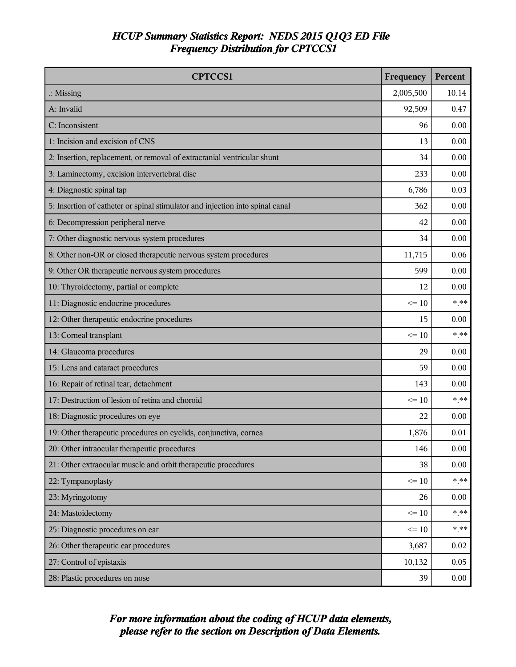| <b>CPTCCS1</b>                                                                | Frequency | Percent |
|-------------------------------------------------------------------------------|-----------|---------|
| $\therefore$ Missing                                                          | 2,005,500 | 10.14   |
| A: Invalid                                                                    | 92,509    | 0.47    |
| C: Inconsistent                                                               | 96        | 0.00    |
| 1: Incision and excision of CNS                                               | 13        | 0.00    |
| 2: Insertion, replacement, or removal of extracranial ventricular shunt       | 34        | 0.00    |
| 3: Laminectomy, excision intervertebral disc                                  | 233       | 0.00    |
| 4: Diagnostic spinal tap                                                      | 6,786     | 0.03    |
| 5: Insertion of catheter or spinal stimulator and injection into spinal canal | 362       | 0.00    |
| 6: Decompression peripheral nerve                                             | 42        | 0.00    |
| 7: Other diagnostic nervous system procedures                                 | 34        | 0.00    |
| 8: Other non-OR or closed therapeutic nervous system procedures               | 11,715    | 0.06    |
| 9: Other OR therapeutic nervous system procedures                             | 599       | 0.00    |
| 10: Thyroidectomy, partial or complete                                        | 12        | 0.00    |
| 11: Diagnostic endocrine procedures                                           | $\leq 10$ | $*$ **  |
| 12: Other therapeutic endocrine procedures                                    | 15        | 0.00    |
| 13: Corneal transplant                                                        | $\leq 10$ | $*$ **  |
| 14: Glaucoma procedures                                                       | 29        | 0.00    |
| 15: Lens and cataract procedures                                              | 59        | 0.00    |
| 16: Repair of retinal tear, detachment                                        | 143       | 0.00    |
| 17: Destruction of lesion of retina and choroid                               | $\leq 10$ | * **    |
| 18: Diagnostic procedures on eye                                              | 22        | 0.00    |
| 19: Other therapeutic procedures on eyelids, conjunctiva, cornea              | 1,876     | 0.01    |
| 20: Other intraocular therapeutic procedures                                  | 146       | 0.00    |
| 21: Other extraocular muscle and orbit therapeutic procedures                 | 38        | 0.00    |
| 22: Tympanoplasty                                                             | $\leq 10$ | $*$ **  |
| 23: Myringotomy                                                               | 26        | 0.00    |
| 24: Mastoidectomy                                                             | $\leq 10$ | $* * *$ |
| 25: Diagnostic procedures on ear                                              | $\leq 10$ | $*$ **  |
| 26: Other therapeutic ear procedures                                          | 3,687     | 0.02    |
| 27: Control of epistaxis                                                      | 10,132    | 0.05    |
| 28: Plastic procedures on nose                                                | 39        | 0.00    |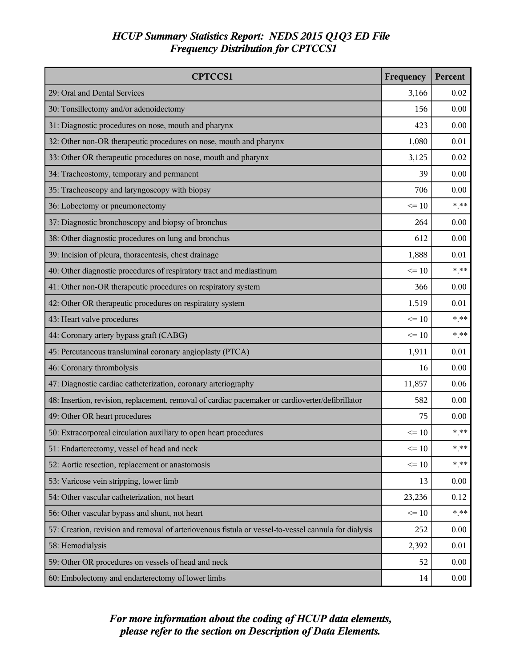| <b>CPTCCS1</b>                                                                                       | Frequency | Percent |
|------------------------------------------------------------------------------------------------------|-----------|---------|
| 29: Oral and Dental Services                                                                         | 3,166     | 0.02    |
| 30: Tonsillectomy and/or adenoidectomy                                                               | 156       | 0.00    |
| 31: Diagnostic procedures on nose, mouth and pharynx                                                 | 423       | 0.00    |
| 32: Other non-OR therapeutic procedures on nose, mouth and pharynx                                   | 1,080     | 0.01    |
| 33: Other OR therapeutic procedures on nose, mouth and pharynx                                       | 3,125     | 0.02    |
| 34: Tracheostomy, temporary and permanent                                                            | 39        | 0.00    |
| 35: Tracheoscopy and laryngoscopy with biopsy                                                        | 706       | 0.00    |
| 36: Lobectomy or pneumonectomy                                                                       | $\leq 10$ | $* * *$ |
| 37: Diagnostic bronchoscopy and biopsy of bronchus                                                   | 264       | 0.00    |
| 38: Other diagnostic procedures on lung and bronchus                                                 | 612       | 0.00    |
| 39: Incision of pleura, thoracentesis, chest drainage                                                | 1,888     | 0.01    |
| 40: Other diagnostic procedures of respiratory tract and mediastinum                                 | $\leq 10$ | $*$ **  |
| 41: Other non-OR therapeutic procedures on respiratory system                                        | 366       | 0.00    |
| 42: Other OR therapeutic procedures on respiratory system                                            | 1,519     | 0.01    |
| 43: Heart valve procedures                                                                           | $\leq 10$ | * **    |
| 44: Coronary artery bypass graft (CABG)                                                              | $\leq 10$ | $*$ **  |
| 45: Percutaneous transluminal coronary angioplasty (PTCA)                                            | 1,911     | 0.01    |
| 46: Coronary thrombolysis                                                                            | 16        | 0.00    |
| 47: Diagnostic cardiac catheterization, coronary arteriography                                       | 11,857    | 0.06    |
| 48: Insertion, revision, replacement, removal of cardiac pacemaker or cardioverter/defibrillator     | 582       | 0.00    |
| 49: Other OR heart procedures                                                                        | 75        | 0.00    |
| 50: Extracorporeal circulation auxiliary to open heart procedures                                    | $\leq 10$ | $*$ **  |
| 51: Endarterectomy, vessel of head and neck                                                          | $\leq 10$ | $* * *$ |
| 52: Aortic resection, replacement or anastomosis                                                     | $\leq 10$ | $***$   |
| 53: Varicose vein stripping, lower limb                                                              | 13        | 0.00    |
| 54: Other vascular catheterization, not heart                                                        | 23,236    | 0.12    |
| 56: Other vascular bypass and shunt, not heart                                                       | $\leq 10$ | $***$   |
| 57: Creation, revision and removal of arteriovenous fistula or vessel-to-vessel cannula for dialysis | 252       | 0.00    |
| 58: Hemodialysis                                                                                     | 2,392     | 0.01    |
| 59: Other OR procedures on vessels of head and neck                                                  | 52        | 0.00    |
| 60: Embolectomy and endarterectomy of lower limbs                                                    | 14        | 0.00    |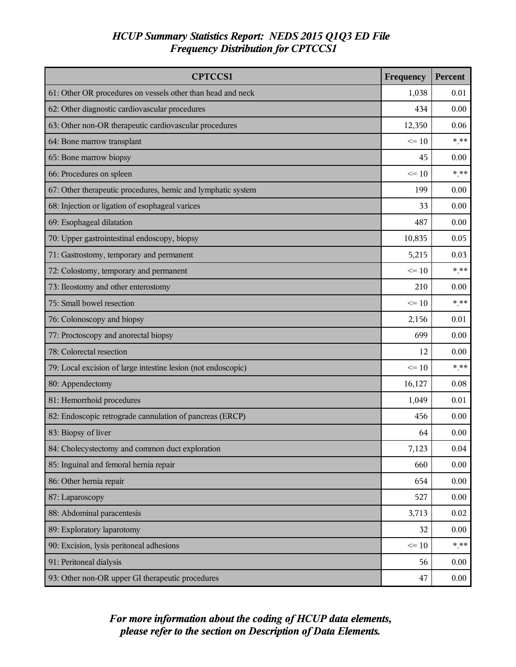| <b>CPTCCS1</b>                                                | Frequency | Percent  |
|---------------------------------------------------------------|-----------|----------|
| 61: Other OR procedures on vessels other than head and neck   | 1,038     | 0.01     |
| 62: Other diagnostic cardiovascular procedures                | 434       | 0.00     |
| 63: Other non-OR therapeutic cardiovascular procedures        | 12,350    | 0.06     |
| 64: Bone marrow transplant                                    | $\leq 10$ | $*$ **   |
| 65: Bone marrow biopsy                                        | 45        | 0.00     |
| 66: Procedures on spleen                                      | $\leq$ 10 | $***$    |
| 67: Other therapeutic procedures, hemic and lymphatic system  | 199       | 0.00     |
| 68: Injection or ligation of esophageal varices               | 33        | 0.00     |
| 69: Esophageal dilatation                                     | 487       | 0.00     |
| 70: Upper gastrointestinal endoscopy, biopsy                  | 10,835    | 0.05     |
| 71: Gastrostomy, temporary and permanent                      | 5,215     | 0.03     |
| 72: Colostomy, temporary and permanent                        | $\leq 10$ | $*$ **   |
| 73: Ileostomy and other enterostomy                           | 210       | 0.00     |
| 75: Small bowel resection                                     | $\leq 10$ | $*$ **   |
| 76: Colonoscopy and biopsy                                    | 2,156     | 0.01     |
| 77: Proctoscopy and anorectal biopsy                          | 699       | 0.00     |
| 78: Colorectal resection                                      | 12        | 0.00     |
| 79: Local excision of large intestine lesion (not endoscopic) | $\leq 10$ | $***$    |
| 80: Appendectomy                                              | 16,127    | 0.08     |
| 81: Hemorrhoid procedures                                     | 1,049     | 0.01     |
| 82: Endoscopic retrograde cannulation of pancreas (ERCP)      | 456       | 0.00     |
| 83: Biopsy of liver                                           | 64        | 0.00     |
| 84: Cholecystectomy and common duct exploration               | 7,123     | $0.04\,$ |
| 85: Inguinal and femoral hernia repair                        | 660       | 0.00     |
| 86: Other hernia repair                                       | 654       | 0.00     |
| 87: Laparoscopy                                               | 527       | 0.00     |
| 88: Abdominal paracentesis                                    | 3,713     | 0.02     |
| 89: Exploratory laparotomy                                    | 32        | 0.00     |
| 90: Excision, lysis peritoneal adhesions                      | $\leq 10$ | $***$    |
| 91: Peritoneal dialysis                                       | 56        | 0.00     |
| 93: Other non-OR upper GI therapeutic procedures              | 47        | 0.00     |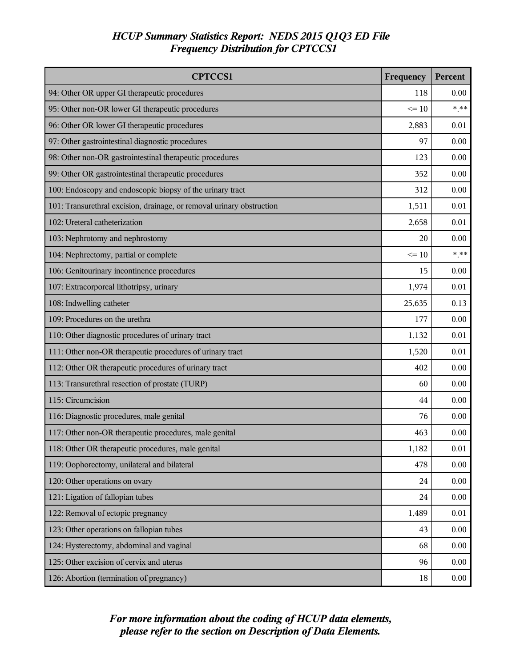| <b>CPTCCS1</b>                                                        | Frequency | Percent |
|-----------------------------------------------------------------------|-----------|---------|
| 94: Other OR upper GI therapeutic procedures                          | 118       | 0.00    |
| 95: Other non-OR lower GI therapeutic procedures                      | $\leq 10$ | $*$ **  |
| 96: Other OR lower GI therapeutic procedures                          | 2,883     | 0.01    |
| 97: Other gastrointestinal diagnostic procedures                      | 97        | 0.00    |
| 98: Other non-OR gastrointestinal therapeutic procedures              | 123       | 0.00    |
| 99: Other OR gastrointestinal therapeutic procedures                  | 352       | 0.00    |
| 100: Endoscopy and endoscopic biopsy of the urinary tract             | 312       | 0.00    |
| 101: Transurethral excision, drainage, or removal urinary obstruction | 1,511     | 0.01    |
| 102: Ureteral catheterization                                         | 2,658     | 0.01    |
| 103: Nephrotomy and nephrostomy                                       | 20        | 0.00    |
| 104: Nephrectomy, partial or complete                                 | $\leq 10$ | $*$ **  |
| 106: Genitourinary incontinence procedures                            | 15        | 0.00    |
| 107: Extracorporeal lithotripsy, urinary                              | 1,974     | 0.01    |
| 108: Indwelling catheter                                              | 25,635    | 0.13    |
| 109: Procedures on the urethra                                        | 177       | 0.00    |
| 110: Other diagnostic procedures of urinary tract                     | 1,132     | 0.01    |
| 111: Other non-OR therapeutic procedures of urinary tract             | 1,520     | 0.01    |
| 112: Other OR therapeutic procedures of urinary tract                 | 402       | 0.00    |
| 113: Transurethral resection of prostate (TURP)                       | 60        | 0.00    |
| 115: Circumcision                                                     | 44        | 0.00    |
| 116: Diagnostic procedures, male genital                              | 76        | 0.00    |
| 117: Other non-OR therapeutic procedures, male genital                | 463       | 0.00    |
| 118: Other OR therapeutic procedures, male genital                    | 1,182     | 0.01    |
| 119: Oophorectomy, unilateral and bilateral                           | 478       | 0.00    |
| 120: Other operations on ovary                                        | 24        | 0.00    |
| 121: Ligation of fallopian tubes                                      | 24        | 0.00    |
| 122: Removal of ectopic pregnancy                                     | 1,489     | 0.01    |
| 123: Other operations on fallopian tubes                              | 43        | 0.00    |
| 124: Hysterectomy, abdominal and vaginal                              | 68        | 0.00    |
| 125: Other excision of cervix and uterus                              | 96        | 0.00    |
| 126: Abortion (termination of pregnancy)                              | 18        | 0.00    |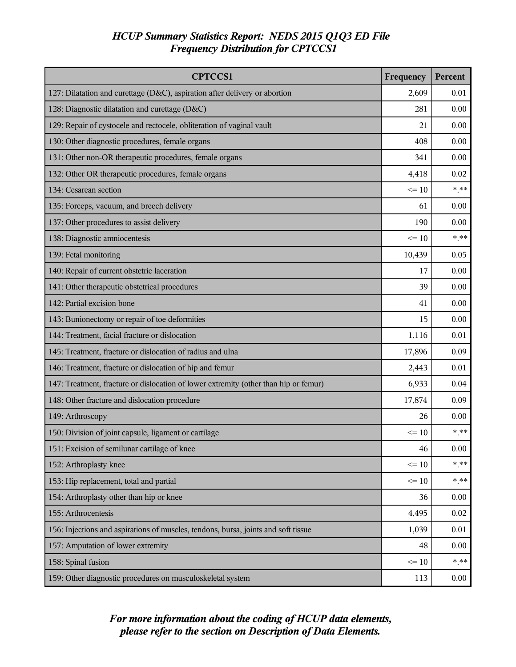| <b>CPTCCS1</b>                                                                       | Frequency | Percent |
|--------------------------------------------------------------------------------------|-----------|---------|
| 127: Dilatation and curettage (D&C), aspiration after delivery or abortion           | 2,609     | 0.01    |
| 128: Diagnostic dilatation and curettage (D&C)                                       | 281       | 0.00    |
| 129: Repair of cystocele and rectocele, obliteration of vaginal vault                | 21        | 0.00    |
| 130: Other diagnostic procedures, female organs                                      | 408       | 0.00    |
| 131: Other non-OR therapeutic procedures, female organs                              | 341       | 0.00    |
| 132: Other OR therapeutic procedures, female organs                                  | 4,418     | 0.02    |
| 134: Cesarean section                                                                | $\leq 10$ | * **    |
| 135: Forceps, vacuum, and breech delivery                                            | 61        | 0.00    |
| 137: Other procedures to assist delivery                                             | 190       | 0.00    |
| 138: Diagnostic amniocentesis                                                        | $\leq 10$ | * **    |
| 139: Fetal monitoring                                                                | 10,439    | 0.05    |
| 140: Repair of current obstetric laceration                                          | 17        | 0.00    |
| 141: Other therapeutic obstetrical procedures                                        | 39        | 0.00    |
| 142: Partial excision bone                                                           | 41        | 0.00    |
| 143: Bunionectomy or repair of toe deformities                                       | 15        | 0.00    |
| 144: Treatment, facial fracture or dislocation                                       | 1,116     | 0.01    |
| 145: Treatment, fracture or dislocation of radius and ulna                           | 17,896    | 0.09    |
| 146: Treatment, fracture or dislocation of hip and femur                             | 2,443     | 0.01    |
| 147: Treatment, fracture or dislocation of lower extremity (other than hip or femur) | 6,933     | 0.04    |
| 148: Other fracture and dislocation procedure                                        | 17,874    | 0.09    |
| 149: Arthroscopy                                                                     | 26        | 0.00    |
| 150: Division of joint capsule, ligament or cartilage                                | $\leq 10$ | * **    |
| 151: Excision of semilunar cartilage of knee                                         | 46        | 0.00    |
| 152: Arthroplasty knee                                                               | $\leq 10$ | $* * *$ |
| 153: Hip replacement, total and partial                                              | $\leq 10$ | * **    |
| 154: Arthroplasty other than hip or knee                                             | 36        | 0.00    |
| 155: Arthrocentesis                                                                  | 4,495     | 0.02    |
| 156: Injections and aspirations of muscles, tendons, bursa, joints and soft tissue   | 1,039     | 0.01    |
| 157: Amputation of lower extremity                                                   | 48        | 0.00    |
| 158: Spinal fusion                                                                   | $\leq 10$ | $*$ **  |
| 159: Other diagnostic procedures on musculoskeletal system                           | 113       | 0.00    |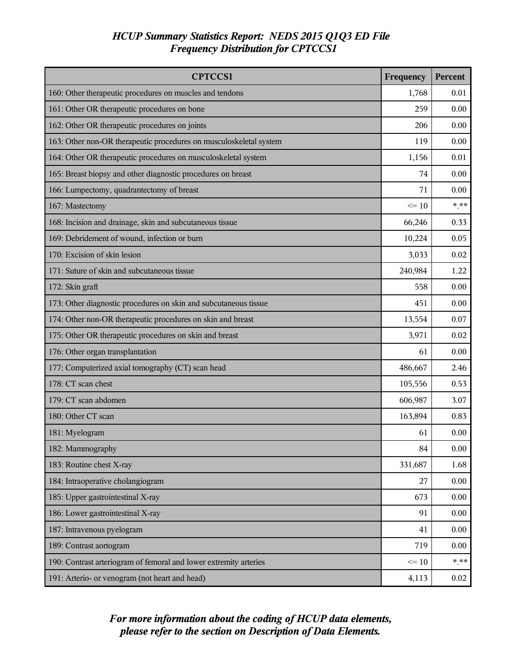| <b>CPTCCS1</b>                                                     | Frequency | Percent |
|--------------------------------------------------------------------|-----------|---------|
| 160: Other therapeutic procedures on muscles and tendons           | 1,768     | 0.01    |
| 161: Other OR therapeutic procedures on bone                       | 259       | 0.00    |
| 162: Other OR therapeutic procedures on joints                     | 206       | 0.00    |
| 163: Other non-OR therapeutic procedures on musculoskeletal system | 119       | 0.00    |
| 164: Other OR therapeutic procedures on musculoskeletal system     | 1,156     | 0.01    |
| 165: Breast biopsy and other diagnostic procedures on breast       | 74        | 0.00    |
| 166: Lumpectomy, quadrantectomy of breast                          | 71        | 0.00    |
| 167: Mastectomy                                                    | $\leq 10$ | $***$   |
| 168: Incision and drainage, skin and subcutaneous tissue           | 66,246    | 0.33    |
| 169: Debridement of wound, infection or burn                       | 10,224    | 0.05    |
| 170: Excision of skin lesion                                       | 3,033     | 0.02    |
| 171: Suture of skin and subcutaneous tissue                        | 240,984   | 1.22    |
| 172: Skin graft                                                    | 558       | 0.00    |
| 173: Other diagnostic procedures on skin and subcutaneous tissue   | 451       | 0.00    |
| 174: Other non-OR therapeutic procedures on skin and breast        | 13,554    | 0.07    |
| 175: Other OR therapeutic procedures on skin and breast            | 3,971     | 0.02    |
| 176: Other organ transplantation                                   | 61        | 0.00    |
| 177: Computerized axial tomography (CT) scan head                  | 486,667   | 2.46    |
| 178: CT scan chest                                                 | 105,556   | 0.53    |
| 179: CT scan abdomen                                               | 606,987   | 3.07    |
| 180: Other CT scan                                                 | 163,894   | 0.83    |
| 181: Myelogram                                                     | 61        | 0.00    |
| 182: Mammography                                                   | 84        | 0.00    |
| 183: Routine chest X-ray                                           | 331,687   | 1.68    |
| 184: Intraoperative cholangiogram                                  | 27        | 0.00    |
| 185: Upper gastrointestinal X-ray                                  | 673       | 0.00    |
| 186: Lower gastrointestinal X-ray                                  | 91        | 0.00    |
| 187: Intravenous pyelogram                                         | 41        | 0.00    |
| 189: Contrast aortogram                                            | 719       | 0.00    |
| 190: Contrast arteriogram of femoral and lower extremity arteries  | $\leq 10$ | $***$   |
| 191: Arterio- or venogram (not heart and head)                     | 4,113     | 0.02    |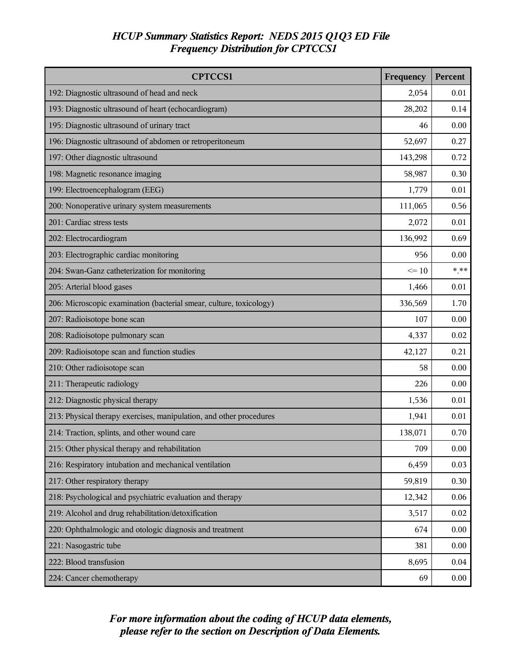| <b>CPTCCS1</b>                                                      | Frequency | Percent |
|---------------------------------------------------------------------|-----------|---------|
| 192: Diagnostic ultrasound of head and neck                         | 2,054     | 0.01    |
| 193: Diagnostic ultrasound of heart (echocardiogram)                | 28,202    | 0.14    |
| 195: Diagnostic ultrasound of urinary tract                         | 46        | 0.00    |
| 196: Diagnostic ultrasound of abdomen or retroperitoneum            | 52,697    | 0.27    |
| 197: Other diagnostic ultrasound                                    | 143,298   | 0.72    |
| 198: Magnetic resonance imaging                                     | 58,987    | 0.30    |
| 199: Electroencephalogram (EEG)                                     | 1,779     | 0.01    |
| 200: Nonoperative urinary system measurements                       | 111,065   | 0.56    |
| 201: Cardiac stress tests                                           | 2,072     | 0.01    |
| 202: Electrocardiogram                                              | 136,992   | 0.69    |
| 203: Electrographic cardiac monitoring                              | 956       | 0.00    |
| 204: Swan-Ganz catheterization for monitoring                       | $\leq 10$ | $***$   |
| 205: Arterial blood gases                                           | 1,466     | 0.01    |
| 206: Microscopic examination (bacterial smear, culture, toxicology) | 336,569   | 1.70    |
| 207: Radioisotope bone scan                                         | 107       | 0.00    |
| 208: Radioisotope pulmonary scan                                    | 4,337     | 0.02    |
| 209: Radioisotope scan and function studies                         | 42,127    | 0.21    |
| 210: Other radioisotope scan                                        | 58        | 0.00    |
| 211: Therapeutic radiology                                          | 226       | 0.00    |
| 212: Diagnostic physical therapy                                    | 1,536     | 0.01    |
| 213: Physical therapy exercises, manipulation, and other procedures | 1,941     | 0.01    |
| 214: Traction, splints, and other wound care                        | 138,071   | 0.70    |
| 215: Other physical therapy and rehabilitation                      | 709       | 0.00    |
| 216: Respiratory intubation and mechanical ventilation              | 6,459     | 0.03    |
| 217: Other respiratory therapy                                      | 59,819    | 0.30    |
| 218: Psychological and psychiatric evaluation and therapy           | 12,342    | 0.06    |
| 219: Alcohol and drug rehabilitation/detoxification                 | 3,517     | 0.02    |
| 220: Ophthalmologic and otologic diagnosis and treatment            | 674       | 0.00    |
| 221: Nasogastric tube                                               | 381       | 0.00    |
| 222: Blood transfusion                                              | 8,695     | 0.04    |
| 224: Cancer chemotherapy                                            | 69        | 0.00    |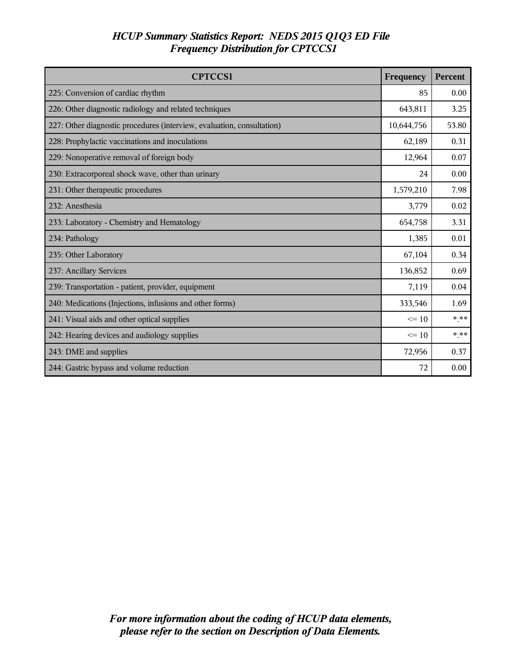| <b>CPTCCS1</b>                                                         | Frequency  | Percent |
|------------------------------------------------------------------------|------------|---------|
| 225: Conversion of cardiac rhythm                                      | 85         | 0.00    |
| 226: Other diagnostic radiology and related techniques                 | 643,811    | 3.25    |
| 227: Other diagnostic procedures (interview, evaluation, consultation) | 10,644,756 | 53.80   |
| 228: Prophylactic vaccinations and inoculations                        | 62,189     | 0.31    |
| 229: Nonoperative removal of foreign body                              | 12,964     | 0.07    |
| 230: Extracorporeal shock wave, other than urinary                     | 24         | 0.00    |
| 231: Other therapeutic procedures                                      | 1,579,210  | 7.98    |
| 232: Anesthesia                                                        | 3,779      | 0.02    |
| 233: Laboratory - Chemistry and Hematology                             | 654,758    | 3.31    |
| 234: Pathology                                                         | 1,385      | 0.01    |
| 235: Other Laboratory                                                  | 67,104     | 0.34    |
| 237: Ancillary Services                                                | 136,852    | 0.69    |
| 239: Transportation - patient, provider, equipment                     | 7,119      | 0.04    |
| 240: Medications (Injections, infusions and other forms)               | 333,546    | 1.69    |
| 241: Visual aids and other optical supplies                            | $\leq$ 10  | * **    |
| 242: Hearing devices and audiology supplies                            | $\leq$ 10  | * **    |
| 243: DME and supplies                                                  | 72,956     | 0.37    |
| 244: Gastric bypass and volume reduction                               | 72         | 0.00    |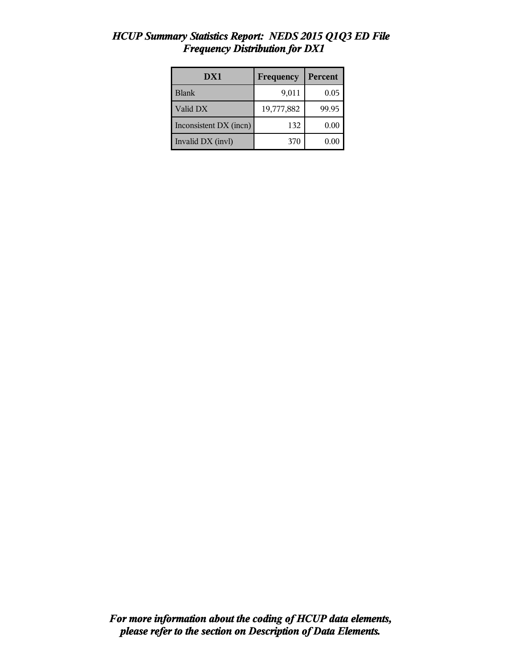| DX1                    | Frequency  | Percent |
|------------------------|------------|---------|
| <b>Blank</b>           | 9,011      | 0.05    |
| Valid DX               | 19,777,882 | 99.95   |
| Inconsistent DX (incn) | 132        | 0.00    |
| Invalid DX (invl)      | 370        | 0.00    |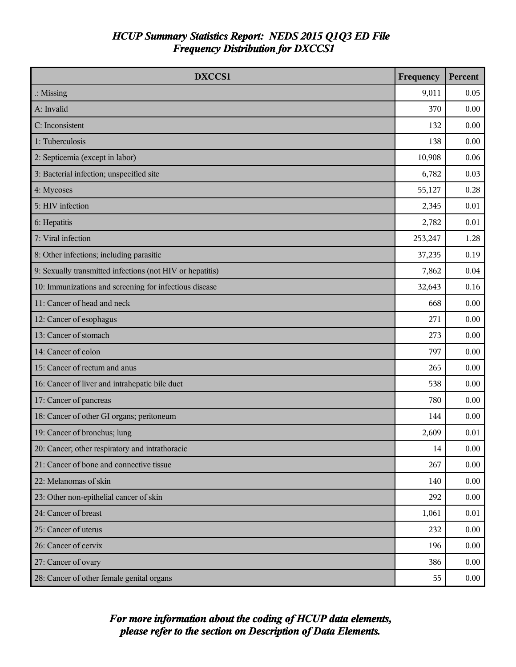| DXCCS1                                                    | Frequency | Percent  |
|-----------------------------------------------------------|-----------|----------|
| $\therefore$ Missing                                      | 9,011     | 0.05     |
| A: Invalid                                                | 370       | 0.00     |
| C: Inconsistent                                           | 132       | 0.00     |
| 1: Tuberculosis                                           | 138       | 0.00     |
| 2: Septicemia (except in labor)                           | 10,908    | 0.06     |
| 3: Bacterial infection; unspecified site                  | 6,782     | 0.03     |
| 4: Mycoses                                                | 55,127    | 0.28     |
| 5: HIV infection                                          | 2,345     | 0.01     |
| 6: Hepatitis                                              | 2,782     | 0.01     |
| 7: Viral infection                                        | 253,247   | 1.28     |
| 8: Other infections; including parasitic                  | 37,235    | 0.19     |
| 9: Sexually transmitted infections (not HIV or hepatitis) | 7,862     | 0.04     |
| 10: Immunizations and screening for infectious disease    | 32,643    | 0.16     |
| 11: Cancer of head and neck                               | 668       | 0.00     |
| 12: Cancer of esophagus                                   | 271       | 0.00     |
| 13: Cancer of stomach                                     | 273       | 0.00     |
| 14: Cancer of colon                                       | 797       | 0.00     |
| 15: Cancer of rectum and anus                             | 265       | 0.00     |
| 16: Cancer of liver and intrahepatic bile duct            | 538       | 0.00     |
| 17: Cancer of pancreas                                    | 780       | 0.00     |
| 18: Cancer of other GI organs; peritoneum                 | 144       | 0.00     |
| 19: Cancer of bronchus; lung                              | 2,609     | 0.01     |
| 20: Cancer; other respiratory and intrathoracic           | 14        | $0.00\,$ |
| 21: Cancer of bone and connective tissue                  | 267       | 0.00     |
| 22: Melanomas of skin                                     | 140       | 0.00     |
| 23: Other non-epithelial cancer of skin                   | 292       | 0.00     |
| 24: Cancer of breast                                      | 1,061     | $0.01\,$ |
| 25: Cancer of uterus                                      | 232       | 0.00     |
| 26: Cancer of cervix                                      | 196       | 0.00     |
| 27: Cancer of ovary                                       | 386       | 0.00     |
| 28: Cancer of other female genital organs                 | 55        | 0.00     |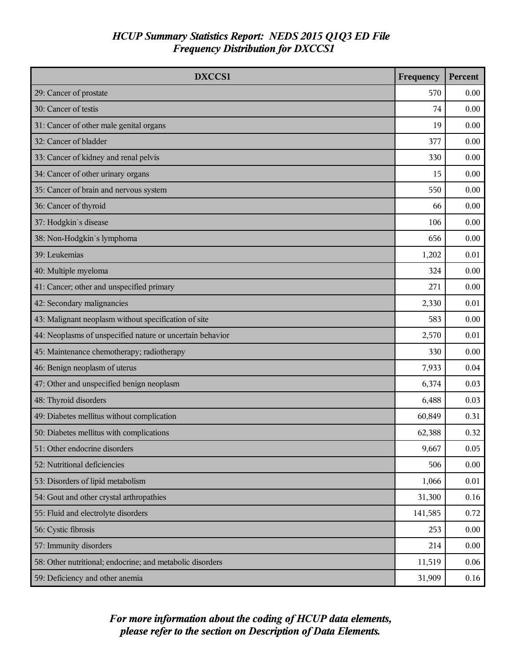| DXCCS1                                                    | Frequency | <b>Percent</b> |
|-----------------------------------------------------------|-----------|----------------|
| 29: Cancer of prostate                                    | 570       | 0.00           |
| 30: Cancer of testis                                      | 74        | 0.00           |
| 31: Cancer of other male genital organs                   | 19        | 0.00           |
| 32: Cancer of bladder                                     | 377       | 0.00           |
| 33: Cancer of kidney and renal pelvis                     | 330       | 0.00           |
| 34: Cancer of other urinary organs                        | 15        | 0.00           |
| 35: Cancer of brain and nervous system                    | 550       | 0.00           |
| 36: Cancer of thyroid                                     | 66        | 0.00           |
| 37: Hodgkin's disease                                     | 106       | 0.00           |
| 38: Non-Hodgkin's lymphoma                                | 656       | 0.00           |
| 39: Leukemias                                             | 1,202     | 0.01           |
| 40: Multiple myeloma                                      | 324       | 0.00           |
| 41: Cancer; other and unspecified primary                 | 271       | 0.00           |
| 42: Secondary malignancies                                | 2,330     | 0.01           |
| 43: Malignant neoplasm without specification of site      | 583       | 0.00           |
| 44: Neoplasms of unspecified nature or uncertain behavior | 2,570     | 0.01           |
| 45: Maintenance chemotherapy; radiotherapy                | 330       | 0.00           |
| 46: Benign neoplasm of uterus                             | 7,933     | 0.04           |
| 47: Other and unspecified benign neoplasm                 | 6,374     | 0.03           |
| 48: Thyroid disorders                                     | 6,488     | 0.03           |
| 49: Diabetes mellitus without complication                | 60,849    | 0.31           |
| 50: Diabetes mellitus with complications                  | 62,388    | 0.32           |
| 51: Other endocrine disorders                             | 9,667     | 0.05           |
| 52: Nutritional deficiencies                              | 506       | 0.00           |
| 53: Disorders of lipid metabolism                         | 1,066     | 0.01           |
| 54: Gout and other crystal arthropathies                  | 31,300    | 0.16           |
| 55: Fluid and electrolyte disorders                       | 141,585   | 0.72           |
| 56: Cystic fibrosis                                       | 253       | 0.00           |
| 57: Immunity disorders                                    | 214       | 0.00           |
| 58: Other nutritional; endocrine; and metabolic disorders | 11,519    | 0.06           |
| 59: Deficiency and other anemia                           | 31,909    | $0.16\,$       |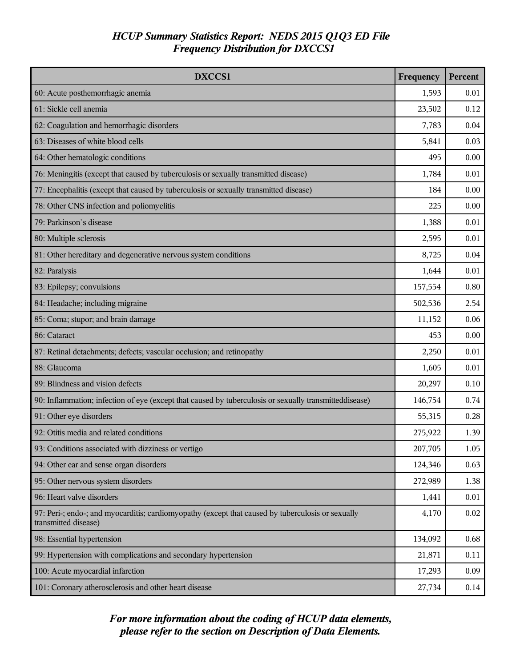| DXCCS1                                                                                                                    | Frequency | Percent |
|---------------------------------------------------------------------------------------------------------------------------|-----------|---------|
| 60: Acute posthemorrhagic anemia                                                                                          | 1,593     | 0.01    |
| 61: Sickle cell anemia                                                                                                    | 23,502    | 0.12    |
| 62: Coagulation and hemorrhagic disorders                                                                                 | 7,783     | 0.04    |
| 63: Diseases of white blood cells                                                                                         | 5,841     | 0.03    |
| 64: Other hematologic conditions                                                                                          | 495       | 0.00    |
| 76: Meningitis (except that caused by tuberculosis or sexually transmitted disease)                                       | 1,784     | 0.01    |
| 77: Encephalitis (except that caused by tuberculosis or sexually transmitted disease)                                     | 184       | 0.00    |
| 78: Other CNS infection and poliomyelitis                                                                                 | 225       | 0.00    |
| 79: Parkinson's disease                                                                                                   | 1,388     | 0.01    |
| 80: Multiple sclerosis                                                                                                    | 2,595     | 0.01    |
| 81: Other hereditary and degenerative nervous system conditions                                                           | 8,725     | 0.04    |
| 82: Paralysis                                                                                                             | 1,644     | 0.01    |
| 83: Epilepsy; convulsions                                                                                                 | 157,554   | 0.80    |
| 84: Headache; including migraine                                                                                          | 502,536   | 2.54    |
| 85: Coma; stupor; and brain damage                                                                                        | 11,152    | 0.06    |
| 86: Cataract                                                                                                              | 453       | 0.00    |
| 87: Retinal detachments; defects; vascular occlusion; and retinopathy                                                     | 2,250     | 0.01    |
| 88: Glaucoma                                                                                                              | 1,605     | 0.01    |
| 89: Blindness and vision defects                                                                                          | 20,297    | 0.10    |
| 90: Inflammation; infection of eye (except that caused by tuberculosis or sexually transmitteddisease)                    | 146,754   | 0.74    |
| 91: Other eye disorders                                                                                                   | 55,315    | 0.28    |
| 92: Otitis media and related conditions                                                                                   | 275,922   | 1.39    |
| 93: Conditions associated with dizziness or vertigo                                                                       | 207,705   | 1.05    |
| 94: Other ear and sense organ disorders                                                                                   | 124,346   | 0.63    |
| 95: Other nervous system disorders                                                                                        | 272,989   | 1.38    |
| 96: Heart valve disorders                                                                                                 | 1,441     | 0.01    |
| 97: Peri-; endo-; and myocarditis; cardiomyopathy (except that caused by tuberculosis or sexually<br>transmitted disease) | 4,170     | 0.02    |
| 98: Essential hypertension                                                                                                | 134,092   | 0.68    |
| 99: Hypertension with complications and secondary hypertension                                                            | 21,871    | 0.11    |
| 100: Acute myocardial infarction                                                                                          | 17,293    | 0.09    |
| 101: Coronary atherosclerosis and other heart disease                                                                     | 27,734    | 0.14    |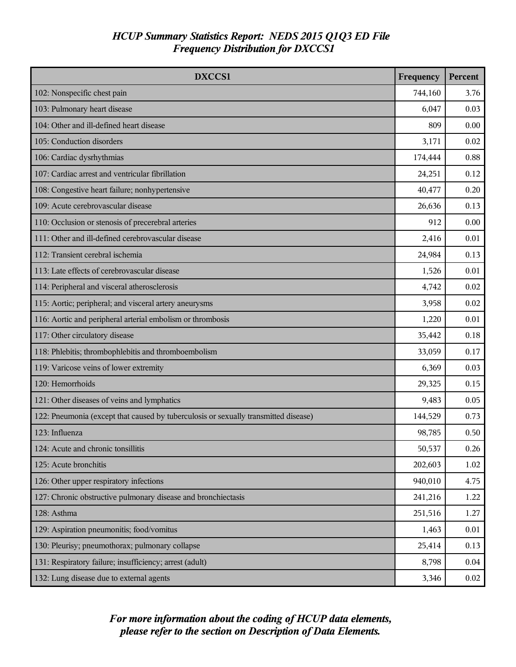| <b>DXCCS1</b>                                                                       | Frequency | Percent |
|-------------------------------------------------------------------------------------|-----------|---------|
| 102: Nonspecific chest pain                                                         | 744,160   | 3.76    |
| 103: Pulmonary heart disease                                                        | 6,047     | 0.03    |
| 104: Other and ill-defined heart disease                                            | 809       | 0.00    |
| 105: Conduction disorders                                                           | 3,171     | 0.02    |
| 106: Cardiac dysrhythmias                                                           | 174,444   | 0.88    |
| 107: Cardiac arrest and ventricular fibrillation                                    | 24,251    | 0.12    |
| 108: Congestive heart failure; nonhypertensive                                      | 40,477    | 0.20    |
| 109: Acute cerebrovascular disease                                                  | 26,636    | 0.13    |
| 110: Occlusion or stenosis of precerebral arteries                                  | 912       | 0.00    |
| 111: Other and ill-defined cerebrovascular disease                                  | 2,416     | 0.01    |
| 112: Transient cerebral ischemia                                                    | 24,984    | 0.13    |
| 113: Late effects of cerebrovascular disease                                        | 1,526     | 0.01    |
| 114: Peripheral and visceral atherosclerosis                                        | 4,742     | 0.02    |
| 115: Aortic; peripheral; and visceral artery aneurysms                              | 3,958     | 0.02    |
| 116: Aortic and peripheral arterial embolism or thrombosis                          | 1,220     | 0.01    |
| 117: Other circulatory disease                                                      | 35,442    | 0.18    |
| 118: Phlebitis; thrombophlebitis and thromboembolism                                | 33,059    | 0.17    |
| 119: Varicose veins of lower extremity                                              | 6,369     | 0.03    |
| 120: Hemorrhoids                                                                    | 29,325    | 0.15    |
| 121: Other diseases of veins and lymphatics                                         | 9,483     | 0.05    |
| 122: Pneumonia (except that caused by tuberculosis or sexually transmitted disease) | 144,529   | 0.73    |
| 123: Influenza                                                                      | 98,785    | 0.50    |
| 124: Acute and chronic tonsillitis                                                  | 50,537    | 0.26    |
| 125: Acute bronchitis                                                               | 202,603   | 1.02    |
| 126: Other upper respiratory infections                                             | 940,010   | 4.75    |
| 127: Chronic obstructive pulmonary disease and bronchiectasis                       | 241,216   | 1.22    |
| 128: Asthma                                                                         | 251,516   | 1.27    |
| 129: Aspiration pneumonitis; food/vomitus                                           | 1,463     | 0.01    |
| 130: Pleurisy; pneumothorax; pulmonary collapse                                     | 25,414    | 0.13    |
| 131: Respiratory failure; insufficiency; arrest (adult)                             | 8,798     | 0.04    |
| 132: Lung disease due to external agents                                            | 3,346     | 0.02    |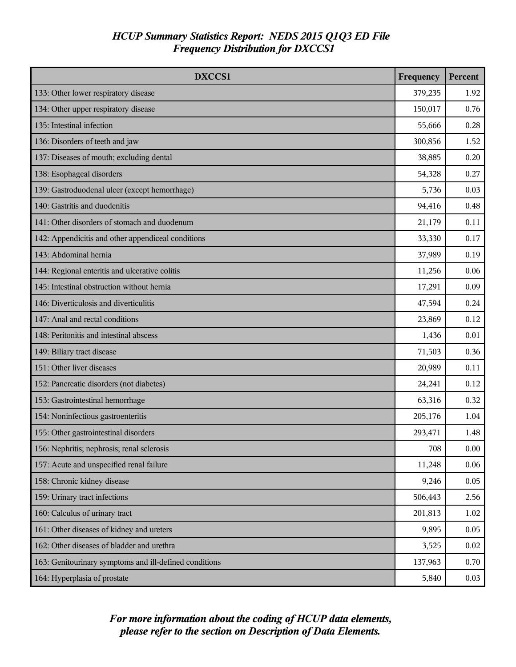| DXCCS1                                                 | Frequency | Percent |
|--------------------------------------------------------|-----------|---------|
| 133: Other lower respiratory disease                   | 379,235   | 1.92    |
| 134: Other upper respiratory disease                   | 150,017   | 0.76    |
| 135: Intestinal infection                              | 55,666    | 0.28    |
| 136: Disorders of teeth and jaw                        | 300,856   | 1.52    |
| 137: Diseases of mouth; excluding dental               | 38,885    | 0.20    |
| 138: Esophageal disorders                              | 54,328    | 0.27    |
| 139: Gastroduodenal ulcer (except hemorrhage)          | 5,736     | 0.03    |
| 140: Gastritis and duodenitis                          | 94,416    | 0.48    |
| 141: Other disorders of stomach and duodenum           | 21,179    | 0.11    |
| 142: Appendicitis and other appendiceal conditions     | 33,330    | 0.17    |
| 143: Abdominal hernia                                  | 37,989    | 0.19    |
| 144: Regional enteritis and ulcerative colitis         | 11,256    | 0.06    |
| 145: Intestinal obstruction without hernia             | 17,291    | 0.09    |
| 146: Diverticulosis and diverticulitis                 | 47,594    | 0.24    |
| 147: Anal and rectal conditions                        | 23,869    | 0.12    |
| 148: Peritonitis and intestinal abscess                | 1,436     | 0.01    |
| 149: Biliary tract disease                             | 71,503    | 0.36    |
| 151: Other liver diseases                              | 20,989    | 0.11    |
| 152: Pancreatic disorders (not diabetes)               | 24,241    | 0.12    |
| 153: Gastrointestinal hemorrhage                       | 63,316    | 0.32    |
| 154: Noninfectious gastroenteritis                     | 205,176   | 1.04    |
| 155: Other gastrointestinal disorders                  | 293,471   | 1.48    |
| 156: Nephritis; nephrosis; renal sclerosis             | 708       | 0.00    |
| 157: Acute and unspecified renal failure               | 11,248    | 0.06    |
| 158: Chronic kidney disease                            | 9,246     | 0.05    |
| 159: Urinary tract infections                          | 506,443   | 2.56    |
| 160: Calculus of urinary tract                         | 201,813   | 1.02    |
| 161: Other diseases of kidney and ureters              | 9,895     | 0.05    |
| 162: Other diseases of bladder and urethra             | 3,525     | 0.02    |
| 163: Genitourinary symptoms and ill-defined conditions | 137,963   | 0.70    |
| 164: Hyperplasia of prostate                           | 5,840     | 0.03    |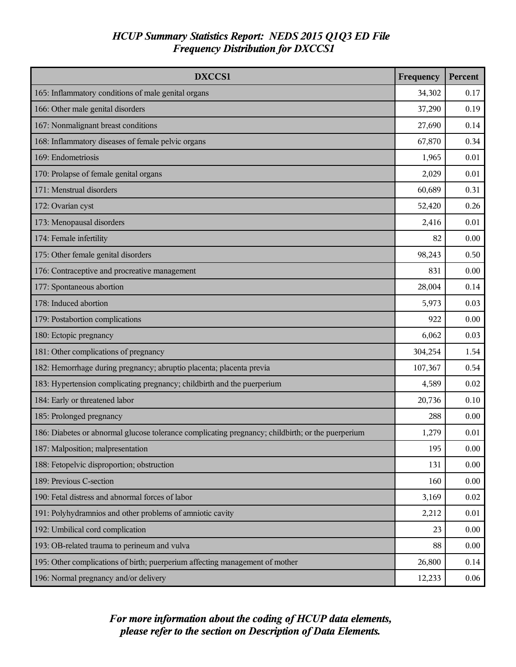| DXCCS1                                                                                            | Frequency | Percent |
|---------------------------------------------------------------------------------------------------|-----------|---------|
| 165: Inflammatory conditions of male genital organs                                               | 34,302    | 0.17    |
| 166: Other male genital disorders                                                                 | 37,290    | 0.19    |
| 167: Nonmalignant breast conditions                                                               | 27,690    | 0.14    |
| 168: Inflammatory diseases of female pelvic organs                                                | 67,870    | 0.34    |
| 169: Endometriosis                                                                                | 1,965     | 0.01    |
| 170: Prolapse of female genital organs                                                            | 2,029     | 0.01    |
| 171: Menstrual disorders                                                                          | 60,689    | 0.31    |
| 172: Ovarian cyst                                                                                 | 52,420    | 0.26    |
| 173: Menopausal disorders                                                                         | 2,416     | 0.01    |
| 174: Female infertility                                                                           | 82        | 0.00    |
| 175: Other female genital disorders                                                               | 98,243    | 0.50    |
| 176: Contraceptive and procreative management                                                     | 831       | 0.00    |
| 177: Spontaneous abortion                                                                         | 28,004    | 0.14    |
| 178: Induced abortion                                                                             | 5,973     | 0.03    |
| 179: Postabortion complications                                                                   | 922       | 0.00    |
| 180: Ectopic pregnancy                                                                            | 6,062     | 0.03    |
| 181: Other complications of pregnancy                                                             | 304,254   | 1.54    |
| 182: Hemorrhage during pregnancy; abruptio placenta; placenta previa                              | 107,367   | 0.54    |
| 183: Hypertension complicating pregnancy; childbirth and the puerperium                           | 4,589     | 0.02    |
| 184: Early or threatened labor                                                                    | 20,736    | 0.10    |
| 185: Prolonged pregnancy                                                                          | 288       | 0.00    |
| 186: Diabetes or abnormal glucose tolerance complicating pregnancy; childbirth; or the puerperium | 1,279     | 0.01    |
| 187: Malposition; malpresentation                                                                 | 195       | 0.00    |
| 188: Fetopelvic disproportion; obstruction                                                        | 131       | 0.00    |
| 189: Previous C-section                                                                           | 160       | 0.00    |
| 190: Fetal distress and abnormal forces of labor                                                  | 3,169     | 0.02    |
| 191: Polyhydramnios and other problems of amniotic cavity                                         | 2,212     | 0.01    |
| 192: Umbilical cord complication                                                                  | 23        | 0.00    |
| 193: OB-related trauma to perineum and vulva                                                      | 88        | 0.00    |
| 195: Other complications of birth; puerperium affecting management of mother                      | 26,800    | 0.14    |
| 196: Normal pregnancy and/or delivery                                                             | 12,233    | 0.06    |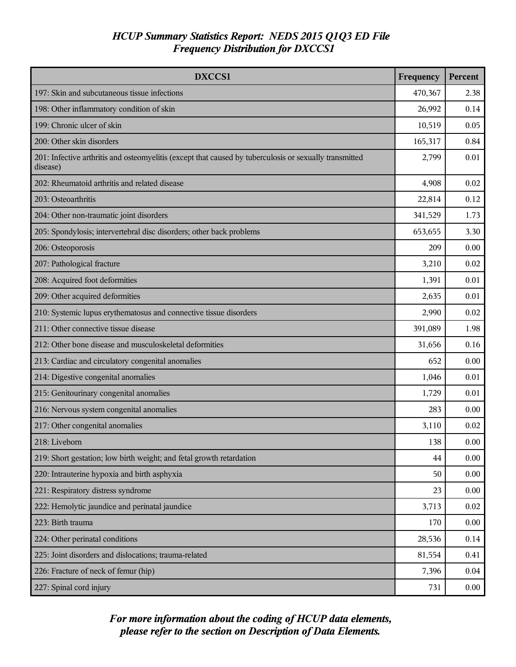| DXCCS1                                                                                                             | Frequency | Percent |
|--------------------------------------------------------------------------------------------------------------------|-----------|---------|
| 197: Skin and subcutaneous tissue infections                                                                       | 470,367   | 2.38    |
| 198: Other inflammatory condition of skin                                                                          | 26,992    | 0.14    |
| 199: Chronic ulcer of skin                                                                                         | 10,519    | 0.05    |
| 200: Other skin disorders                                                                                          | 165,317   | 0.84    |
| 201: Infective arthritis and osteomyelitis (except that caused by tuberculosis or sexually transmitted<br>disease) | 2,799     | 0.01    |
| 202: Rheumatoid arthritis and related disease                                                                      | 4,908     | 0.02    |
| 203: Osteoarthritis                                                                                                | 22,814    | 0.12    |
| 204: Other non-traumatic joint disorders                                                                           | 341,529   | 1.73    |
| 205: Spondylosis; intervertebral disc disorders; other back problems                                               | 653,655   | 3.30    |
| 206: Osteoporosis                                                                                                  | 209       | 0.00    |
| 207: Pathological fracture                                                                                         | 3,210     | 0.02    |
| 208: Acquired foot deformities                                                                                     | 1,391     | 0.01    |
| 209: Other acquired deformities                                                                                    | 2,635     | 0.01    |
| 210: Systemic lupus erythematosus and connective tissue disorders                                                  | 2,990     | 0.02    |
| 211: Other connective tissue disease                                                                               | 391,089   | 1.98    |
| 212: Other bone disease and musculoskeletal deformities                                                            | 31,656    | 0.16    |
| 213: Cardiac and circulatory congenital anomalies                                                                  | 652       | 0.00    |
| 214: Digestive congenital anomalies                                                                                | 1,046     | 0.01    |
| 215: Genitourinary congenital anomalies                                                                            | 1,729     | 0.01    |
| 216: Nervous system congenital anomalies                                                                           | 283       | 0.00    |
| 217: Other congenital anomalies                                                                                    | 3,110     | 0.02    |
| 218: Liveborn                                                                                                      | 138       | 0.00    |
| 219: Short gestation; low birth weight; and fetal growth retardation                                               | 44        | 0.00    |
| 220: Intrauterine hypoxia and birth asphyxia                                                                       | 50        | 0.00    |
| 221: Respiratory distress syndrome                                                                                 | 23        | 0.00    |
| 222: Hemolytic jaundice and perinatal jaundice                                                                     | 3,713     | 0.02    |
| 223: Birth trauma                                                                                                  | 170       | 0.00    |
| 224: Other perinatal conditions                                                                                    | 28,536    | 0.14    |
| 225: Joint disorders and dislocations; trauma-related                                                              | 81,554    | 0.41    |
| 226: Fracture of neck of femur (hip)                                                                               | 7,396     | 0.04    |
| 227: Spinal cord injury                                                                                            | 731       | 0.00    |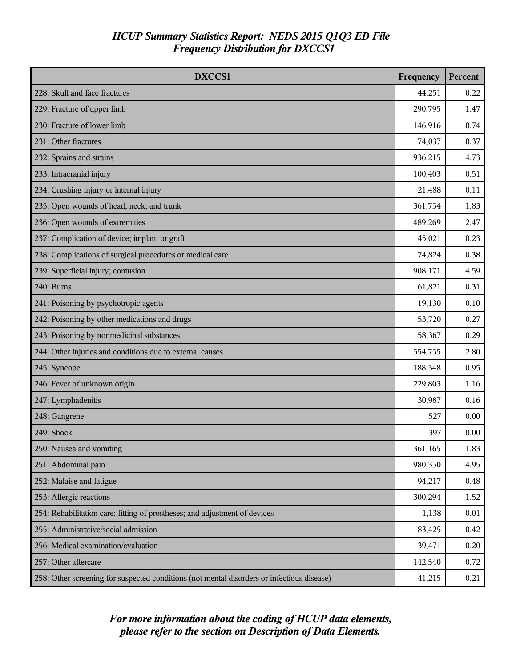| DXCCS1                                                                                     |         | Percent |
|--------------------------------------------------------------------------------------------|---------|---------|
| 228: Skull and face fractures                                                              | 44,251  | 0.22    |
| 229: Fracture of upper limb                                                                | 290,795 | 1.47    |
| 230: Fracture of lower limb                                                                | 146,916 | 0.74    |
| 231: Other fractures                                                                       | 74,037  | 0.37    |
| 232: Sprains and strains                                                                   | 936,215 | 4.73    |
| 233: Intracranial injury                                                                   | 100,403 | 0.51    |
| 234: Crushing injury or internal injury                                                    | 21,488  | 0.11    |
| 235: Open wounds of head; neck; and trunk                                                  | 361,754 | 1.83    |
| 236: Open wounds of extremities                                                            | 489,269 | 2.47    |
| 237: Complication of device; implant or graft                                              | 45,021  | 0.23    |
| 238: Complications of surgical procedures or medical care                                  | 74,824  | 0.38    |
| 239: Superficial injury; contusion                                                         | 908,171 | 4.59    |
| 240: Burns                                                                                 | 61,821  | 0.31    |
| 241: Poisoning by psychotropic agents                                                      | 19,130  | 0.10    |
| 242: Poisoning by other medications and drugs                                              | 53,720  | 0.27    |
| 243: Poisoning by nonmedicinal substances                                                  | 58,367  | 0.29    |
| 244: Other injuries and conditions due to external causes                                  | 554,755 | 2.80    |
| 245: Syncope                                                                               | 188,348 | 0.95    |
| 246: Fever of unknown origin                                                               | 229,803 | 1.16    |
| 247: Lymphadenitis                                                                         | 30,987  | 0.16    |
| 248: Gangrene                                                                              | 527     | 0.00    |
| 249: Shock                                                                                 | 397     | 0.00    |
| 250: Nausea and vomiting                                                                   | 361,165 | 1.83    |
| 251: Abdominal pain                                                                        | 980,350 | 4.95    |
| 252: Malaise and fatigue                                                                   | 94,217  | 0.48    |
| 253: Allergic reactions                                                                    | 300,294 | 1.52    |
| 254: Rehabilitation care; fitting of prostheses; and adjustment of devices                 | 1,138   | 0.01    |
| 255: Administrative/social admission                                                       | 83,425  | 0.42    |
| 256: Medical examination/evaluation                                                        | 39,471  | 0.20    |
| 257: Other aftercare                                                                       | 142,540 | 0.72    |
| 258: Other screening for suspected conditions (not mental disorders or infectious disease) | 41,215  | 0.21    |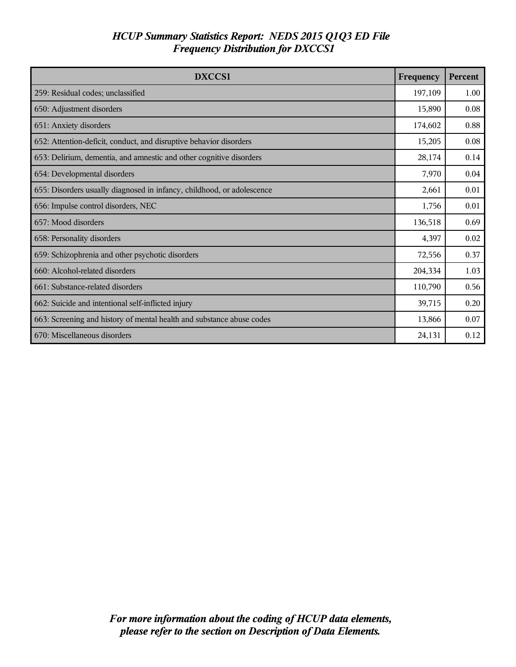| DXCCS1                                                                 | Frequency | Percent |
|------------------------------------------------------------------------|-----------|---------|
| 259: Residual codes; unclassified                                      | 197,109   | 1.00    |
| 650: Adjustment disorders                                              | 15,890    | 0.08    |
| 651: Anxiety disorders                                                 | 174,602   | 0.88    |
| 652: Attention-deficit, conduct, and disruptive behavior disorders     | 15,205    | 0.08    |
| 653: Delirium, dementia, and amnestic and other cognitive disorders    | 28,174    | 0.14    |
| 654: Developmental disorders                                           | 7,970     | 0.04    |
| 655: Disorders usually diagnosed in infancy, childhood, or adolescence | 2,661     | 0.01    |
| 656: Impulse control disorders, NEC                                    | 1,756     | 0.01    |
| 657: Mood disorders                                                    | 136,518   | 0.69    |
| 658: Personality disorders                                             | 4,397     | 0.02    |
| 659: Schizophrenia and other psychotic disorders                       | 72,556    | 0.37    |
| 660: Alcohol-related disorders                                         | 204,334   | 1.03    |
| 661: Substance-related disorders                                       | 110,790   | 0.56    |
| 662: Suicide and intentional self-inflicted injury                     | 39,715    | 0.20    |
| 663: Screening and history of mental health and substance abuse codes  | 13,866    | 0.07    |
| 670: Miscellaneous disorders                                           | 24,131    | 0.12    |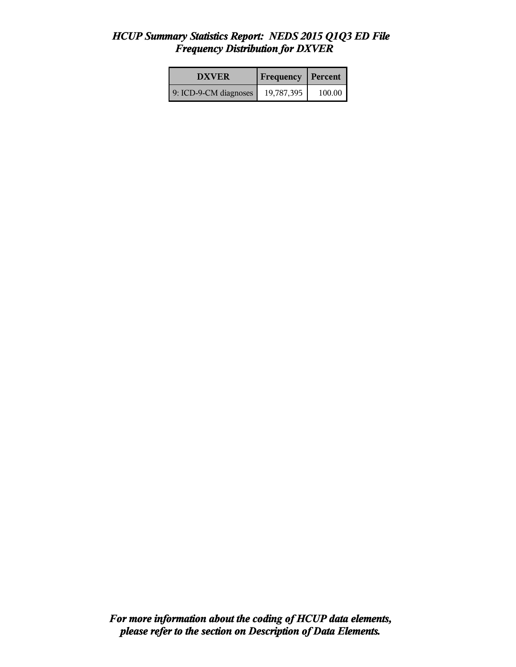| <b>DXVER</b>          | <b>Frequency Percent</b> |        |
|-----------------------|--------------------------|--------|
| 9: ICD-9-CM diagnoses | 19,787,395               | 100.00 |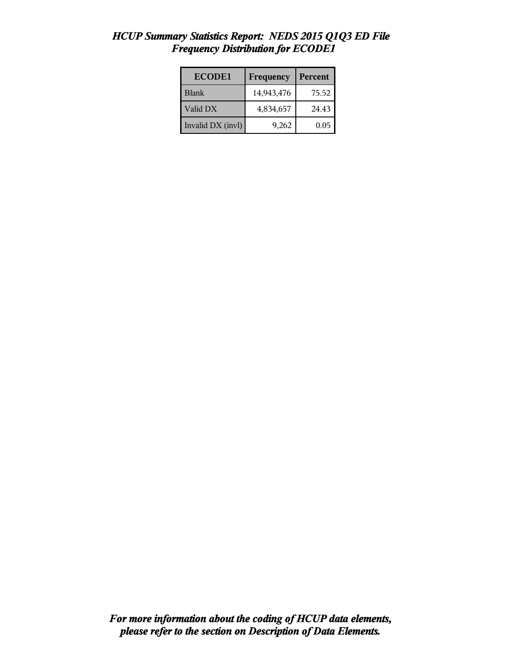| <b>ECODE1</b>     | Frequency  | Percent |
|-------------------|------------|---------|
| Blank             | 14,943,476 | 75.52   |
| Valid DX          | 4,834,657  | 24.43   |
| Invalid DX (invl) | 9,262      | 0.05    |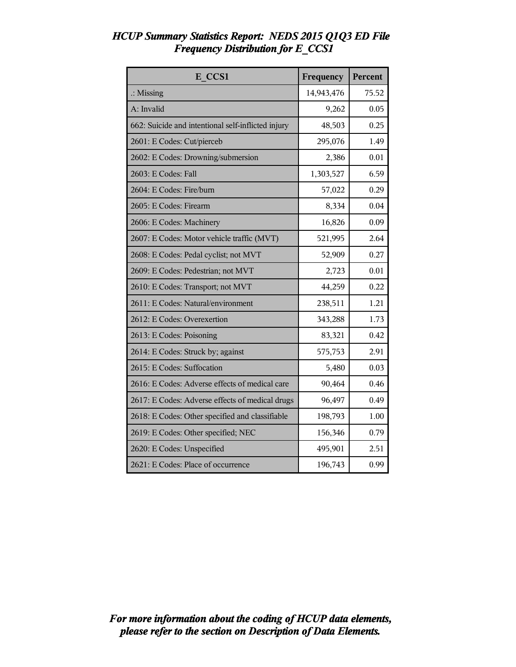| E CCS1                                             | Frequency  | Percent |
|----------------------------------------------------|------------|---------|
| $\therefore$ Missing                               | 14,943,476 | 75.52   |
| A: Invalid                                         | 9,262      | 0.05    |
| 662: Suicide and intentional self-inflicted injury | 48,503     | 0.25    |
| 2601: E Codes: Cut/pierceb                         | 295,076    | 1.49    |
| 2602: E Codes: Drowning/submersion                 | 2,386      | 0.01    |
| 2603: E Codes: Fall                                | 1,303,527  | 6.59    |
| 2604: E Codes: Fire/burn                           | 57,022     | 0.29    |
| 2605: E Codes: Firearm                             | 8,334      | 0.04    |
| 2606: E Codes: Machinery                           | 16,826     | 0.09    |
| 2607: E Codes: Motor vehicle traffic (MVT)         | 521,995    | 2.64    |
| 2608: E Codes: Pedal cyclist; not MVT              | 52,909     | 0.27    |
| 2609: E Codes: Pedestrian; not MVT                 | 2,723      | 0.01    |
| 2610: E Codes: Transport; not MVT                  | 44,259     | 0.22    |
| 2611: E Codes: Natural/environment                 | 238,511    | 1.21    |
| 2612: E Codes: Overexertion                        | 343,288    | 1.73    |
| 2613: E Codes: Poisoning                           | 83,321     | 0.42    |
| 2614: E Codes: Struck by; against                  | 575,753    | 2.91    |
| 2615: E Codes: Suffocation                         | 5,480      | 0.03    |
| 2616: E Codes: Adverse effects of medical care     | 90,464     | 0.46    |
| 2617: E Codes: Adverse effects of medical drugs    | 96,497     | 0.49    |
| 2618: E Codes: Other specified and classifiable    | 198,793    | 1.00    |
| 2619: E Codes: Other specified; NEC                | 156,346    | 0.79    |
| 2620: E Codes: Unspecified                         | 495,901    | 2.51    |
| 2621: E Codes: Place of occurrence                 | 196,743    | 0.99    |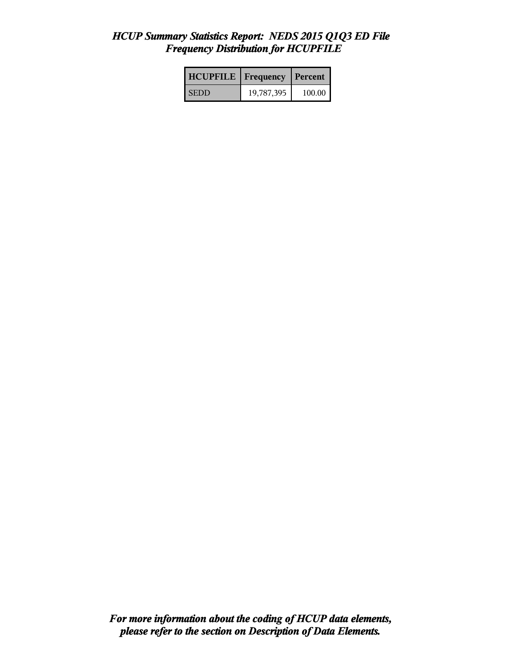| <b>HCUPFILE</b>   Frequency |            | l Percent |
|-----------------------------|------------|-----------|
| <b>SEDD</b>                 | 19,787,395 | 100.00    |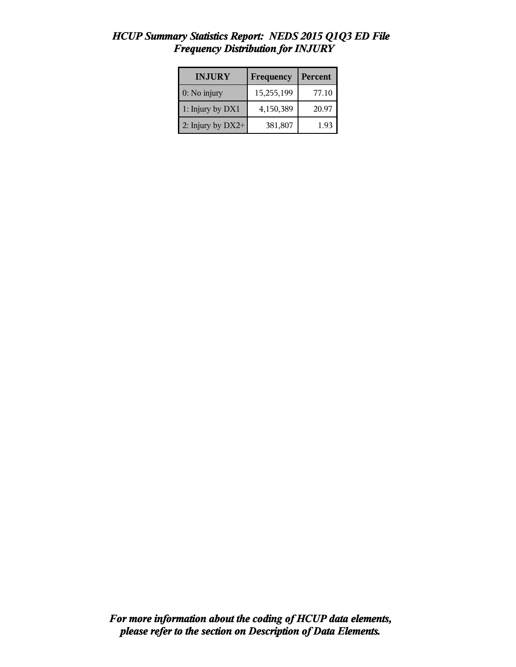| <b>HCUP Summary Statistics Report: NEDS 2015 Q1Q3 ED File</b> |  |  |  |
|---------------------------------------------------------------|--|--|--|
| <b>Frequency Distribution for INJURY</b>                      |  |  |  |
|                                                               |  |  |  |

| <b>INJURY</b>       | Frequency  | Percent |
|---------------------|------------|---------|
| $0:$ No injury      | 15,255,199 | 77.10   |
| 1: Injury by DX1    | 4,150,389  | 20.97   |
| 2: Injury by $DX2+$ | 381,807    | 1.93    |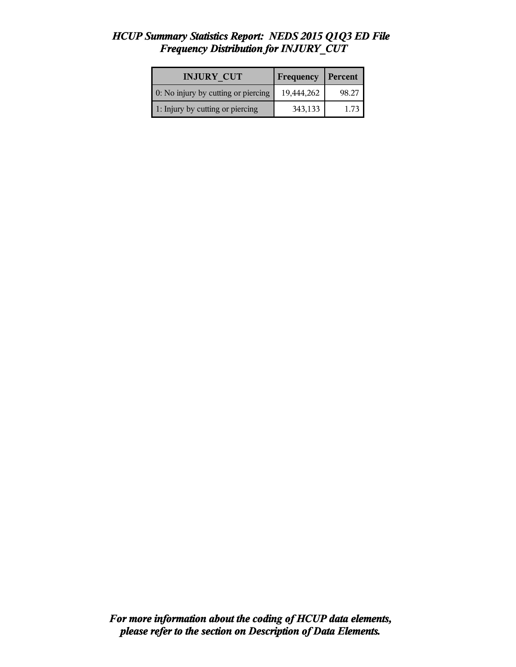| <b>INJURY CUT</b>                   | <b>Frequency</b> | Percent |
|-------------------------------------|------------------|---------|
| 0: No injury by cutting or piercing | 19,444,262       | 98.27   |
| 1: Injury by cutting or piercing    | 343,133          | 1.73    |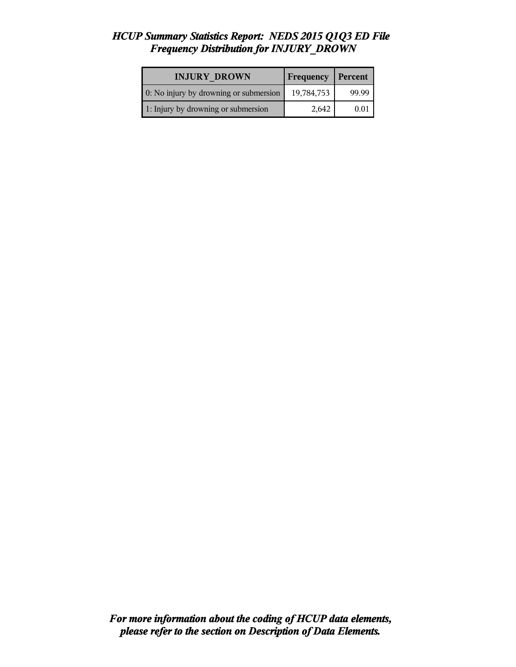| <b>INJURY DROWN</b>                    | Frequency  | Percent |
|----------------------------------------|------------|---------|
| 0: No injury by drowning or submersion | 19,784,753 | 99.99   |
| 1: Injury by drowning or submersion    | 2,642      | 0.01    |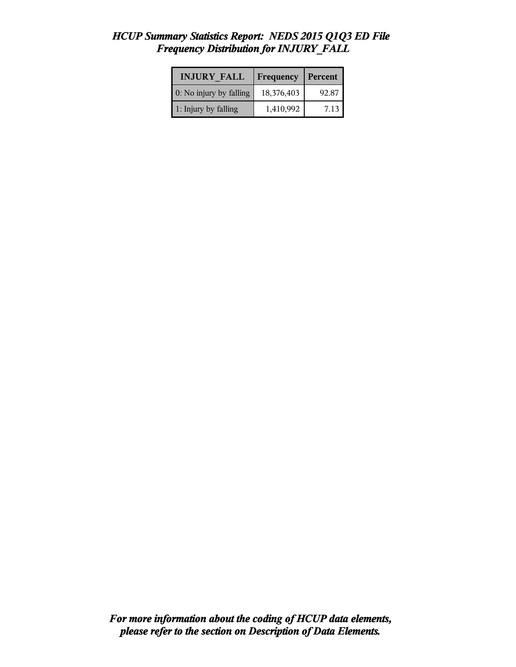| <b>INJURY FALL</b>      | <b>Frequency</b> | Percent |
|-------------------------|------------------|---------|
| 0: No injury by falling | 18,376,403       | 92.87   |
| 1: Injury by falling    | 1,410,992        | 7.13    |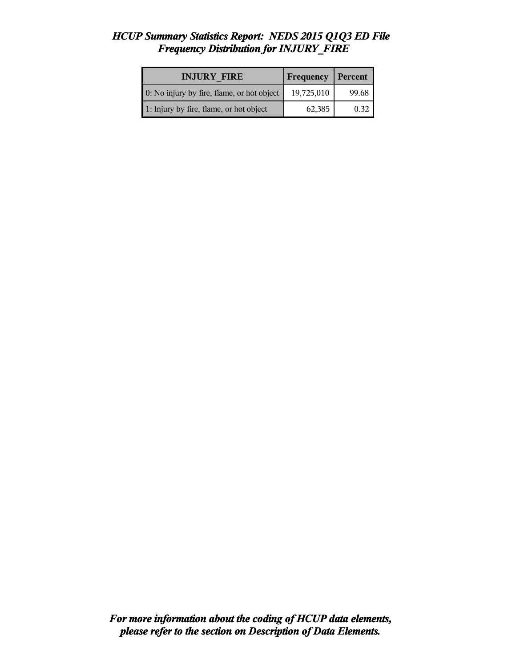| <b>INJURY FIRE</b>                         | <b>Frequency</b>   Percent |       |
|--------------------------------------------|----------------------------|-------|
| 0: No injury by fire, flame, or hot object | 19,725,010                 | 99.68 |
| 1: Injury by fire, flame, or hot object    | 62,385                     | 0.32  |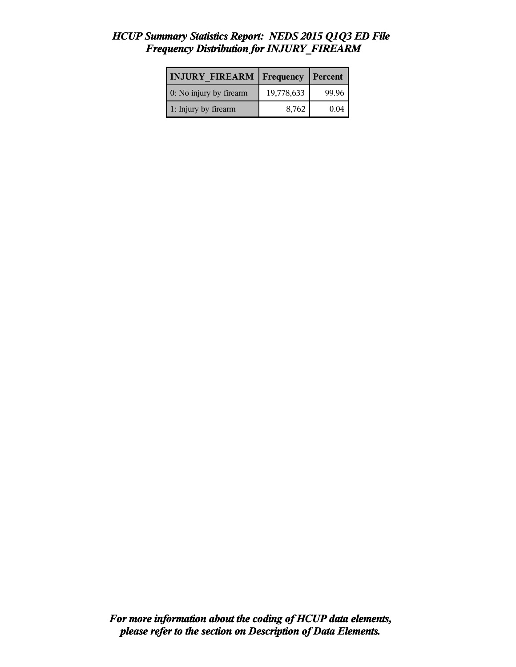#### *HCUP Summary Statistics Report: NEDS 2015 Q1Q3 ED File Frequency Distribution for INJURY\_FIREARM*

| <b>INJURY FIREARM</b>   | Frequency  | Percent |
|-------------------------|------------|---------|
| 0: No injury by firearm | 19,778,633 | 99.96   |
| 1: Injury by firearm    | 8,762      | 0.04    |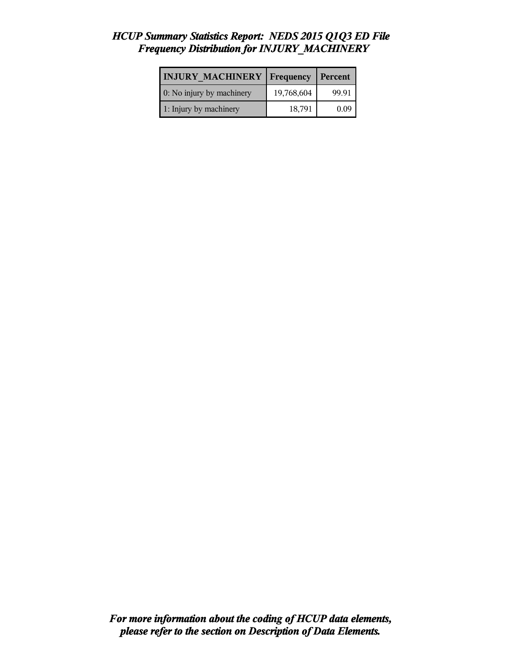## *HCUP Summary Statistics Report: NEDS 2015 Q1Q3 ED File Frequency Distribution for INJURY\_MACHINERY*

| <b>INJURY MACHINERY Frequency</b> |            | Percent |
|-----------------------------------|------------|---------|
| 0: No injury by machinery         | 19,768,604 | 99.91   |
| 1: Injury by machinery            | 18,791     | 0.09    |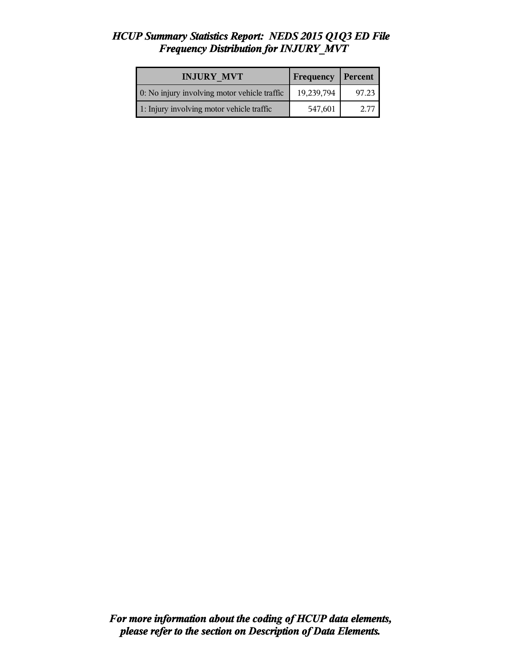| <b>INJURY MVT</b>                            | Frequency   Percent |       |
|----------------------------------------------|---------------------|-------|
| 0: No injury involving motor vehicle traffic | 19,239,794          | 97.23 |
| 1: Injury involving motor vehicle traffic    | 547,601             | 2.77  |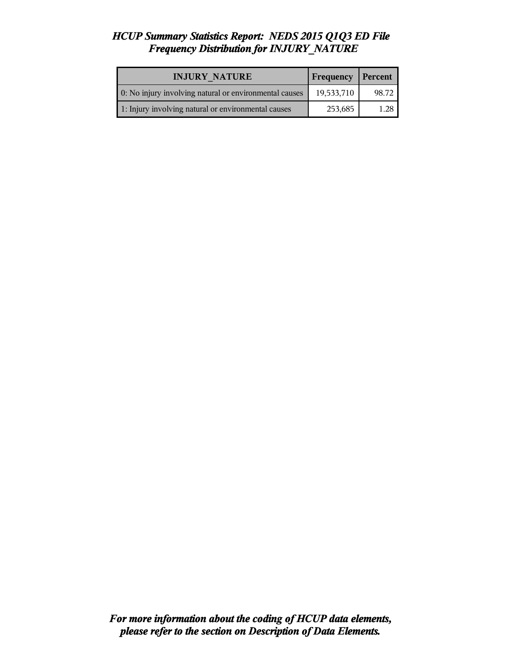| <b>INJURY NATURE</b>                                   | <b>Frequency</b> | Percent |
|--------------------------------------------------------|------------------|---------|
| 0: No injury involving natural or environmental causes | 19,533,710       | 98.72   |
| 1: Injury involving natural or environmental causes    | 253,685          | 1.28    |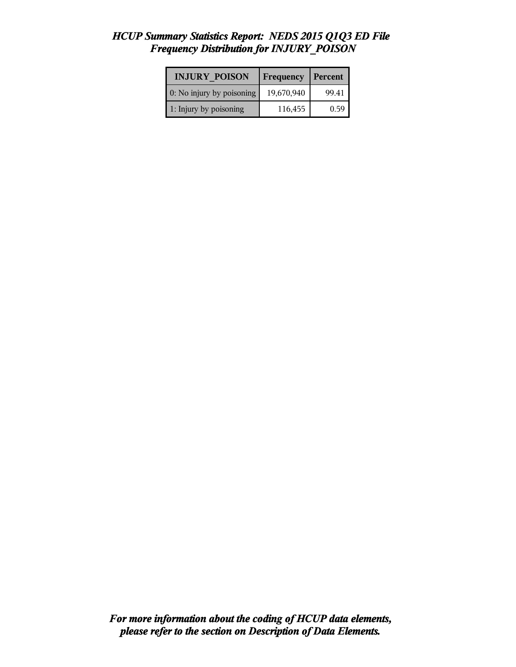| <b>INJURY POISON</b>      | Frequency  | Percent |
|---------------------------|------------|---------|
| 0: No injury by poisoning | 19,670,940 | 99.41   |
| 1: Injury by poisoning    | 116,455    | 0.59    |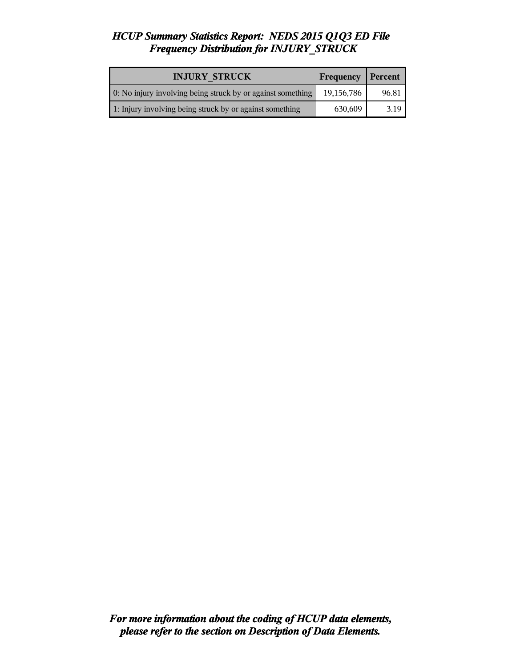| <b>INJURY STRUCK</b>                                        | Frequency   Percent |       |
|-------------------------------------------------------------|---------------------|-------|
| 0: No injury involving being struck by or against something | 19,156,786          | 96.81 |
| 1: Injury involving being struck by or against something    | 630,609             | 3.19  |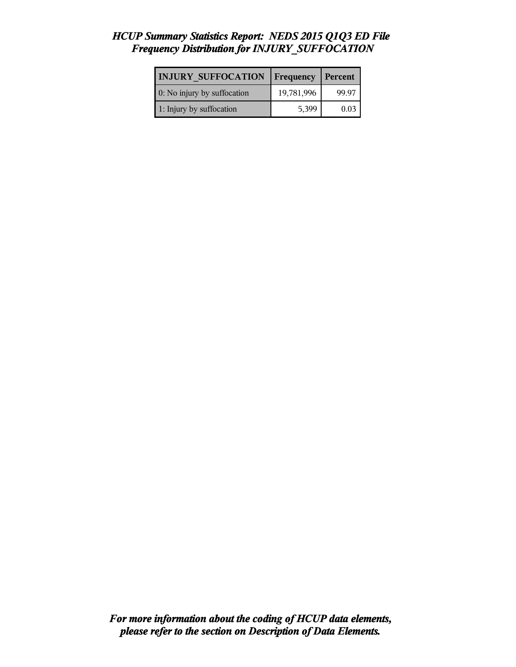## *HCUP Summary Statistics Report: NEDS 2015 Q1Q3 ED File Frequency Distribution for INJURY\_SUFFOCATION*

| <b>INJURY SUFFOCATION</b>   | <b>Frequency   Percent</b> |       |
|-----------------------------|----------------------------|-------|
| 0: No injury by suffocation | 19,781,996                 | 99.97 |
| 1: Injury by suffocation    | 5,399                      | 0.03  |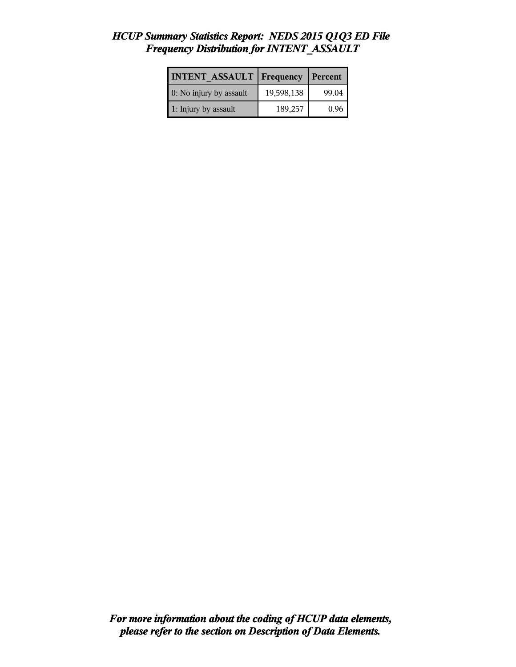| <b>INTENT ASSAULT   Frequency</b> |            | Percent |
|-----------------------------------|------------|---------|
| 0: No injury by assault           | 19,598,138 | 99.04   |
| 1: Injury by assault              | 189,257    | 0.96    |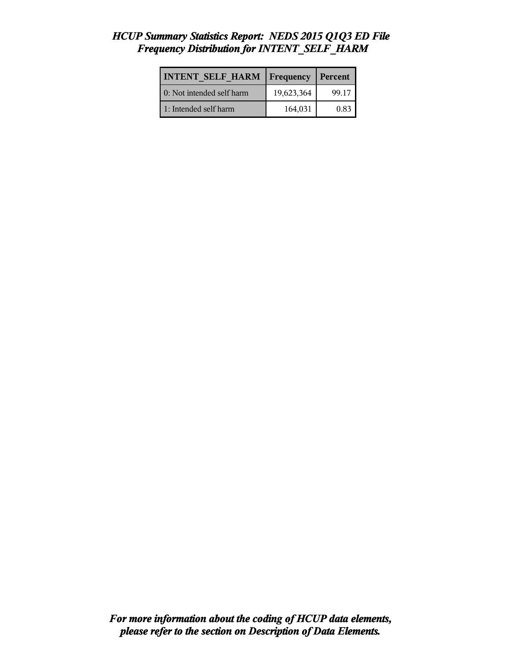| <b>INTENT SELF HARM   Frequency</b> |            | <b>Percent</b> |
|-------------------------------------|------------|----------------|
| 0: Not intended self harm           | 19,623,364 | 99.17          |
| 1: Intended self harm               | 164,031    | 0.83           |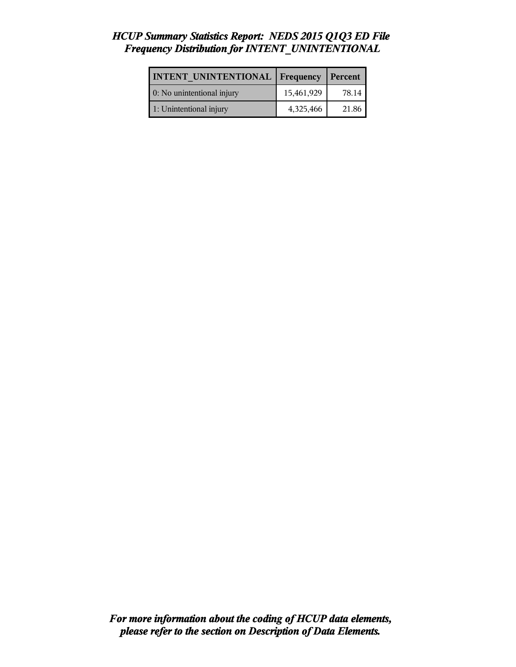## *HCUP Summary Statistics Report: NEDS 2015 Q1Q3 ED File Frequency Distribution for INTENT\_UNINTENTIONAL*

| <b>INTENT UNINTENTIONAL</b> | $\vert$ Frequency | Percent |
|-----------------------------|-------------------|---------|
| 0: No unintentional injury  | 15,461,929        | 78.14   |
| 1: Unintentional injury     | 4,325,466         | 21.86   |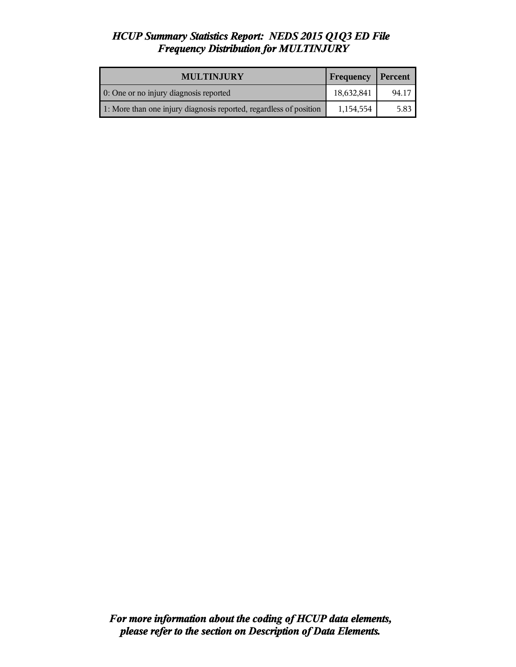| <b>MULTINJURY</b>                                                  | <b>Frequency</b> | Percent |
|--------------------------------------------------------------------|------------------|---------|
| 0: One or no injury diagnosis reported                             | 18,632,841       | 94.17   |
| 1: More than one injury diagnosis reported, regardless of position | 1,154,554        | 5.83    |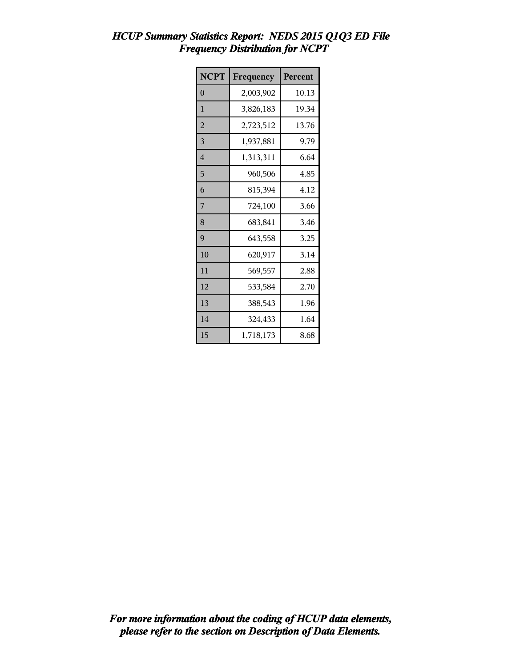| <b>NCPT</b>    | Frequency | Percent |
|----------------|-----------|---------|
| $\overline{0}$ | 2,003,902 | 10.13   |
| 1              | 3,826,183 | 19.34   |
| $\overline{2}$ | 2,723,512 | 13.76   |
| 3              | 1,937,881 | 9.79    |
| $\overline{4}$ | 1,313,311 | 6.64    |
| 5              | 960,506   | 4.85    |
| 6              | 815,394   | 4.12    |
| 7              | 724,100   | 3.66    |
| 8              | 683,841   | 3.46    |
| 9              | 643,558   | 3.25    |
| 10             | 620,917   | 3.14    |
| 11             | 569,557   | 2.88    |
| 12             | 533,584   | 2.70    |
| 13             | 388,543   | 1.96    |
| 14             | 324,433   | 1.64    |
| 15             | 1,718,173 | 8.68    |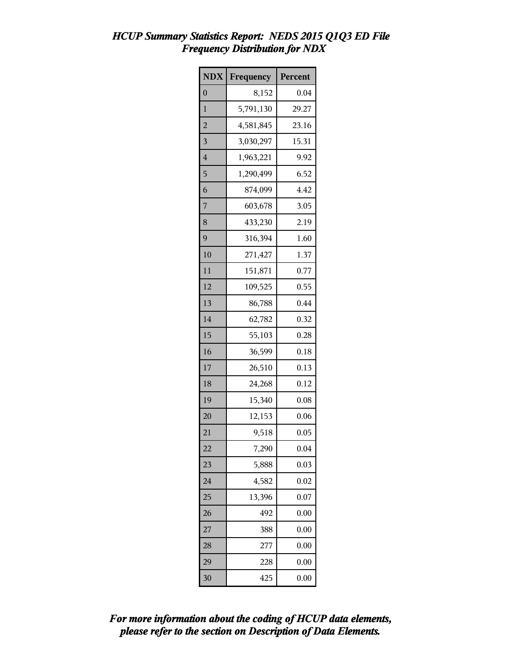| <b>NDX</b>     | Frequency | Percent |
|----------------|-----------|---------|
| 0              | 8,152     | 0.04    |
| 1              | 5,791,130 | 29.27   |
| $\overline{a}$ | 4,581,845 | 23.16   |
| 3              | 3,030,297 | 15.31   |
| $\overline{4}$ | 1,963,221 | 9.92    |
| 5              | 1,290,499 | 6.52    |
| 6              | 874,099   | 4.42    |
| 7              | 603,678   | 3.05    |
| 8              | 433,230   | 2.19    |
| 9              | 316,394   | 1.60    |
| 10             | 271,427   | 1.37    |
| 11             | 151,871   | 0.77    |
| 12             | 109,525   | 0.55    |
| 13             | 86,788    | 0.44    |
| 14             | 62,782    | 0.32    |
| 15             | 55,103    | 0.28    |
| 16             | 36,599    | 0.18    |
| 17             | 26,510    | 0.13    |
| 18             | 24,268    | 0.12    |
| 19             | 15,340    | 0.08    |
| 20             | 12,153    | 0.06    |
| 21             | 9,518     | 0.05    |
| 22             | 7,290     | 0.04    |
| 23             | 5,888     | 0.03    |
| 24             | 4,582     | 0.02    |
| 25             | 13,396    | 0.07    |
| 26             | 492       | 0.00    |
| 27             | 388       | 0.00    |
| 28             | 277       | 0.00    |
| 29             | 228       | 0.00    |
| 30             | 425       | 0.00    |